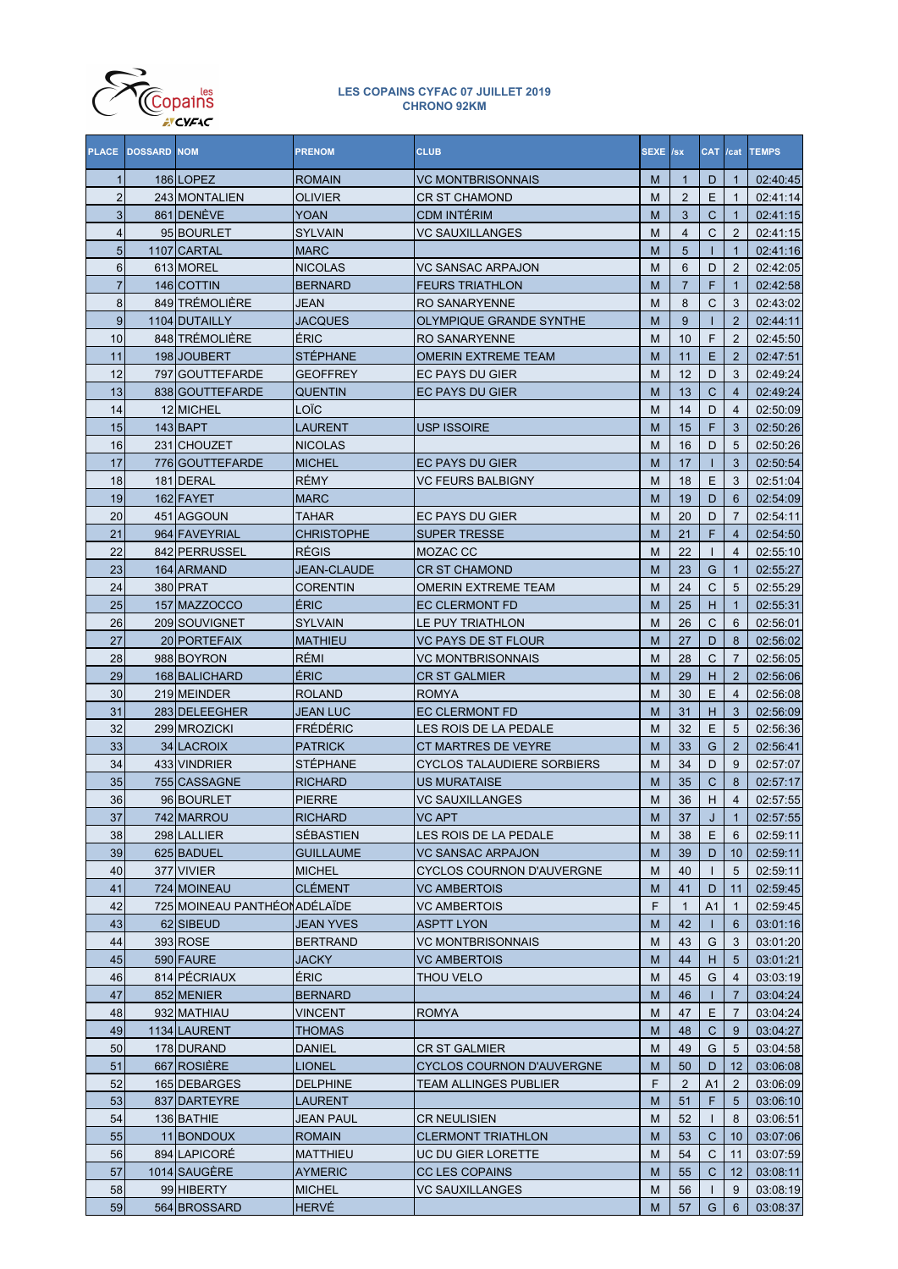

| $\mathbf{1}$<br>186 LOPEZ<br><b>ROMAIN</b><br><b>VC MONTBRISONNAIS</b><br>02:40:45<br>M<br>$\mathbf 1$<br>D<br>$\mathbf{1}$<br>$\overline{2}$<br>2<br>M<br>E<br>243 MONTALIEN<br>OLIVIER<br><b>CR ST CHAMOND</b><br>$\mathbf{1}$<br>02:41:14<br>3<br><b>CDM INTÉRIM</b><br>861 DENEVE<br>YOAN<br>M<br>3<br>C<br>$\mathbf{1}$<br>02:41:15<br>$\overline{4}$<br>C<br>4<br>95 BOURLET<br>SYLVAIN<br><b>VC SAUXILLANGES</b><br>M<br>$\overline{2}$<br>02:41:15<br>5<br>5<br>1107 CARTAL<br>MARC<br>M<br>02:41:16<br>$\mathbf{1}$<br>$6\phantom{1}$<br>6<br>613 MOREL<br><b>NICOLAS</b><br>M<br>D<br>$\overline{2}$<br>02:42:05<br>VC SANSAC ARPAJON<br>$\overline{7}$<br>$\overline{7}$<br>F<br>146 COTTIN<br>M<br>$\mathbf{1}$<br><b>BERNARD</b><br><b>FEURS TRIATHLON</b><br>02:42:58<br>8<br>8<br>C<br>3<br>849 TRÉMOLIÈRE<br>JEAN<br>M<br>02:43:02<br><b>RO SANARYENNE</b><br>9<br>9<br>$\overline{2}$<br>1104 DUTAILLY<br><b>JACQUES</b><br><b>OLYMPIQUE GRANDE SYNTHE</b><br>M<br>02:44:11<br>F<br>10<br>848 TRÉMOLIÈRE<br>ÉRIC<br>10<br>$\overline{2}$<br>M<br>02:45:50<br><b>RO SANARYENNE</b><br>11<br><b>STÉPHANE</b><br>M<br>11<br>Е<br>198 JOUBERT<br><b>OMERIN EXTREME TEAM</b><br>$\overline{2}$<br>02:47:51<br>12<br>797 GOUTTEFARDE<br>М<br>12<br>D<br>3<br>02:49:24<br>GEOFFREY<br>EC PAYS DU GIER<br>C<br>13<br>838 GOUTTEFARDE<br><b>QUENTIN</b><br><b>EC PAYS DU GIER</b><br>M<br>13<br>$\overline{4}$<br>02:49:24<br>LOÏC<br>14<br>14<br>D<br>12 MICHEL<br>M<br>4<br>02:50:09<br>F<br>15<br><b>USP ISSOIRE</b><br>$143$ BAPT<br>LAURENT<br>M<br>15<br>3<br>02:50:26<br>16<br>231 CHOUZET<br><b>NICOLAS</b><br>M<br>16<br>D<br>5<br>02:50:26<br>17<br>776 GOUTTEFARDE<br><b>MICHEL</b><br><b>EC PAYS DU GIER</b><br>M<br>17<br>3<br>02:50:54<br>RÉMY<br>Ε<br>18<br>181 DERAL<br><b>VC FEURS BALBIGNY</b><br>M<br>18<br>3<br>02:51:04<br>D<br>19<br>162 FAYET<br><b>MARC</b><br>M<br>19<br>6<br>02:54:09<br>20<br>20<br>D<br>451 AGGOUN<br><b>TAHAR</b><br><b>EC PAYS DU GIER</b><br>M<br>$\overline{7}$<br>02:54:11<br>21<br>21<br>F<br>964 FAVEYRIAL<br><b>CHRISTOPHE</b><br><b>SUPER TRESSE</b><br>М<br>$\overline{4}$<br>02:54:50<br>22<br>842 PERRUSSEL<br><b>RÉGIS</b><br>M<br>22<br>4<br>02:55:10<br><b>IMOZAC CC</b><br>23<br>JEAN-CLAUDE<br>м<br>23<br>G<br>164 ARMAND<br><b>CR ST CHAMOND</b><br>$\mathbf{1}$<br>02:55:27<br>24<br>C<br>380 PRAT<br><b>OMERIN EXTREME TEAM</b><br>M<br>24<br>5<br>02:55:29<br>CORENTIN<br>25<br>н<br>157 MAZZOCCO<br><b>ÉRIC</b><br><b>EC CLERMONT FD</b><br>M<br>25<br>02:55:31<br>1<br>26<br>C<br>26<br>209 SOUVIGNET<br>SYLVAIN<br>LE PUY TRIATHLON<br>М<br>6<br>02:56:01<br>27<br>20 PORTEFAIX<br>27<br>D<br>02:56:02<br><b>MATHIEU</b><br>VC PAYS DE ST FLOUR<br>М<br>8<br>28<br>RÉMI<br>C<br>988 BOYRON<br>М<br>28<br>$\overline{7}$<br><b>VC MONTBRISONNAIS</b><br>02:56:05<br>29<br>ÉRIC<br><b>CR ST GALMIER</b><br>M<br>29<br>н<br>$\overline{2}$<br>168 BALICHARD<br>02:56:06<br>30<br>219 MEINDER<br><b>ROLAND</b><br>M<br>30<br>E<br><b>ROMYA</b><br>$\overline{4}$<br>02:56:08<br>н<br>31<br>283 DELEEGHER<br>JEAN LUC<br>M<br>31<br>3<br>02:56:09<br>EC CLERMONT FD<br>32<br><b>FRÉDÉRIC</b><br>32<br>Ε<br>299 MROZICKI<br>M<br>5<br>LES ROIS DE LA PEDALE<br>02:56:36<br>33<br>G<br>$\overline{2}$<br>34 LACROIX<br>M<br>33<br><b>PATRICK</b><br>CT MARTRES DE VEYRE<br>02:56:41<br>34<br>34<br>D<br>433 VINDRIER<br><b>STÉPHANE</b><br>M<br>9<br><b>CYCLOS TALAUDIERE SORBIERS</b><br>02:57:07<br>C<br>35<br>755 CASSAGNE<br><b>US MURATAISE</b><br>M<br>35<br>8<br><b>RICHARD</b><br>02:57:17<br>36<br>H<br>M<br>36<br>96 BOURLET<br><b>PIERRE</b><br><b>VC SAUXILLANGES</b><br>$\overline{4}$<br>02:57:55<br>37<br>742 MARROU<br><b>RICHARD</b><br><b>VC APT</b><br>37<br>02:57:55<br>M<br>J<br>$\mathbf{1}$<br>E<br>38<br>298 LALLIER<br>SÉBASTIEN<br>LES ROIS DE LA PEDALE<br>М<br>38<br>02:59:11<br>6<br>39<br>625 BADUEL<br><b>GUILLAUME</b><br><b>VC SANSAC ARPAJON</b><br>M<br>39<br>D<br>02:59:11<br>10<br>40<br>40<br>02:59:11<br>377 VIVIER<br><b>MICHEL</b><br><b>CYCLOS COURNON D'AUVERGNE</b><br>М<br>5<br><b>CLÉMENT</b><br>41<br>724 MOINEAU<br><b>VC AMBERTOIS</b><br>41<br>02:59:45<br>M<br>D<br>11<br>F<br>42<br>725 MOINEAU PANTHÉON ADÉLAÏDE<br>A1<br><b>VC AMBERTOIS</b><br>1<br>02:59:45<br>$\mathbf{1}$<br>62 SIBEUD<br>43<br>JEAN YVES<br><b>ASPTT LYON</b><br>42<br>03:01:16<br>М<br>6<br>44<br>393 ROSE<br><b>BERTRAND</b><br><b>VC MONTBRISONNAIS</b><br>M<br>43<br>G<br>3<br>03:01:20<br>45<br>590 FAURE<br>JACKY<br><b>VC AMBERTOIS</b><br>M<br>44<br>н<br>5<br>03:01:21<br>46<br>814 PÉCRIAUX<br>G<br><b>ÉRIC</b><br>THOU VELO<br>М<br>45<br>4<br>03:03:19<br>47<br>852 MENIER<br><b>BERNARD</b><br>M<br>46<br>$\overline{7}$<br>03:04:24<br>48<br>932 MATHIAU<br>VINCENT<br><b>ROMYA</b><br>M<br>47<br>Ε<br>$\overline{7}$<br>03:04:24<br>49<br>48<br>С<br>1134 LAURENT<br>THOMAS<br>М<br>9<br>03:04:27<br>50<br>178 DURAND<br>49<br>G<br>5<br>DANIEL<br>CR ST GALMIER<br>М<br>03:04:58<br>51<br>667 ROSIERE<br>12<br>LIONEL<br><b>CYCLOS COURNON D'AUVERGNE</b><br>М<br>50<br>D<br>03:06:08<br>F<br>52<br>165 DEBARGES<br>A1<br>DELPHINE<br>TEAM ALLINGES PUBLIER<br>2<br>2<br>03:06:09<br>53<br>F<br>837 DARTEYRE<br>LAURENT<br>M<br>5<br>03:06:10<br>51<br>54<br>136 BATHIE<br>JEAN PAUL<br><b>CR NEULISIEN</b><br>M<br>52<br>8<br>03:06:51<br>55<br>11 BONDOUX<br><b>ROMAIN</b><br>M<br>53<br><b>CLERMONT TRIATHLON</b><br>C<br>10<br>03:07:06<br>894 LAPICORÉ<br>56<br>54<br>С<br>MATTHIEU<br>UC DU GIER LORETTE<br>М<br>11<br>03:07:59<br>1014 SAUGÈRE<br>57<br>AYMERIC<br><b>CC LES COPAINS</b><br>M<br>55<br>C<br>12<br>03:08:11<br>58<br>99 HIBERTY<br><b>MICHEL</b><br>VC SAUXILLANGES<br>М<br>56<br>9<br>03:08:19<br>564 BROSSARD |    | PLACE DOSSARD NOM | <b>PRENOM</b> | <b>CLUB</b> | SEXE /sx |    | <b>CAT</b> | /cat | <b>TEMPS</b> |
|-------------------------------------------------------------------------------------------------------------------------------------------------------------------------------------------------------------------------------------------------------------------------------------------------------------------------------------------------------------------------------------------------------------------------------------------------------------------------------------------------------------------------------------------------------------------------------------------------------------------------------------------------------------------------------------------------------------------------------------------------------------------------------------------------------------------------------------------------------------------------------------------------------------------------------------------------------------------------------------------------------------------------------------------------------------------------------------------------------------------------------------------------------------------------------------------------------------------------------------------------------------------------------------------------------------------------------------------------------------------------------------------------------------------------------------------------------------------------------------------------------------------------------------------------------------------------------------------------------------------------------------------------------------------------------------------------------------------------------------------------------------------------------------------------------------------------------------------------------------------------------------------------------------------------------------------------------------------------------------------------------------------------------------------------------------------------------------------------------------------------------------------------------------------------------------------------------------------------------------------------------------------------------------------------------------------------------------------------------------------------------------------------------------------------------------------------------------------------------------------------------------------------------------------------------------------------------------------------------------------------------------------------------------------------------------------------------------------------------------------------------------------------------------------------------------------------------------------------------------------------------------------------------------------------------------------------------------------------------------------------------------------------------------------------------------------------------------------------------------------------------------------------------------------------------------------------------------------------------------------------------------------------------------------------------------------------------------------------------------------------------------------------------------------------------------------------------------------------------------------------------------------------------------------------------------------------------------------------------------------------------------------------------------------------------------------------------------------------------------------------------------------------------------------------------------------------------------------------------------------------------------------------------------------------------------------------------------------------------------------------------------------------------------------------------------------------------------------------------------------------------------------------------------------------------------------------------------------------------------------------------------------------------------------------------------------------------------------------------------------------------------------------------------------------------------------------------------------------------------------------------------------------------------------------------------------------------------------------------------------------------------------------------------------------------------------------------------------------------------------------------------------------------------------------------------------------------------------------------------------------------------------------------------------------------------------------------------------------------------------------------------------------------------------------------------------------------------------------------------------------------------------------------------------------------------------------------------------------------------------------------------------------------------------------------------------------------------------------------------------------------------------------------------------------------------------------------------------------------------------------------------------------------------------------------------------------------------------------------------------------------------------------------------------------------------------------------------------------------------------------------|----|-------------------|---------------|-------------|----------|----|------------|------|--------------|
|                                                                                                                                                                                                                                                                                                                                                                                                                                                                                                                                                                                                                                                                                                                                                                                                                                                                                                                                                                                                                                                                                                                                                                                                                                                                                                                                                                                                                                                                                                                                                                                                                                                                                                                                                                                                                                                                                                                                                                                                                                                                                                                                                                                                                                                                                                                                                                                                                                                                                                                                                                                                                                                                                                                                                                                                                                                                                                                                                                                                                                                                                                                                                                                                                                                                                                                                                                                                                                                                                                                                                                                                                                                                                                                                                                                                                                                                                                                                                                                                                                                                                                                                                                                                                                                                                                                                                                                                                                                                                                                                                                                                                                                                                                                                                                                                                                                                                                                                                                                                                                                                                                                                                                                                                                                                                                                                                                                                                                                                                                                                                                                                                                                                                                                                                       |    |                   |               |             |          |    |            |      |              |
|                                                                                                                                                                                                                                                                                                                                                                                                                                                                                                                                                                                                                                                                                                                                                                                                                                                                                                                                                                                                                                                                                                                                                                                                                                                                                                                                                                                                                                                                                                                                                                                                                                                                                                                                                                                                                                                                                                                                                                                                                                                                                                                                                                                                                                                                                                                                                                                                                                                                                                                                                                                                                                                                                                                                                                                                                                                                                                                                                                                                                                                                                                                                                                                                                                                                                                                                                                                                                                                                                                                                                                                                                                                                                                                                                                                                                                                                                                                                                                                                                                                                                                                                                                                                                                                                                                                                                                                                                                                                                                                                                                                                                                                                                                                                                                                                                                                                                                                                                                                                                                                                                                                                                                                                                                                                                                                                                                                                                                                                                                                                                                                                                                                                                                                                                       |    |                   |               |             |          |    |            |      |              |
|                                                                                                                                                                                                                                                                                                                                                                                                                                                                                                                                                                                                                                                                                                                                                                                                                                                                                                                                                                                                                                                                                                                                                                                                                                                                                                                                                                                                                                                                                                                                                                                                                                                                                                                                                                                                                                                                                                                                                                                                                                                                                                                                                                                                                                                                                                                                                                                                                                                                                                                                                                                                                                                                                                                                                                                                                                                                                                                                                                                                                                                                                                                                                                                                                                                                                                                                                                                                                                                                                                                                                                                                                                                                                                                                                                                                                                                                                                                                                                                                                                                                                                                                                                                                                                                                                                                                                                                                                                                                                                                                                                                                                                                                                                                                                                                                                                                                                                                                                                                                                                                                                                                                                                                                                                                                                                                                                                                                                                                                                                                                                                                                                                                                                                                                                       |    |                   |               |             |          |    |            |      |              |
|                                                                                                                                                                                                                                                                                                                                                                                                                                                                                                                                                                                                                                                                                                                                                                                                                                                                                                                                                                                                                                                                                                                                                                                                                                                                                                                                                                                                                                                                                                                                                                                                                                                                                                                                                                                                                                                                                                                                                                                                                                                                                                                                                                                                                                                                                                                                                                                                                                                                                                                                                                                                                                                                                                                                                                                                                                                                                                                                                                                                                                                                                                                                                                                                                                                                                                                                                                                                                                                                                                                                                                                                                                                                                                                                                                                                                                                                                                                                                                                                                                                                                                                                                                                                                                                                                                                                                                                                                                                                                                                                                                                                                                                                                                                                                                                                                                                                                                                                                                                                                                                                                                                                                                                                                                                                                                                                                                                                                                                                                                                                                                                                                                                                                                                                                       |    |                   |               |             |          |    |            |      |              |
|                                                                                                                                                                                                                                                                                                                                                                                                                                                                                                                                                                                                                                                                                                                                                                                                                                                                                                                                                                                                                                                                                                                                                                                                                                                                                                                                                                                                                                                                                                                                                                                                                                                                                                                                                                                                                                                                                                                                                                                                                                                                                                                                                                                                                                                                                                                                                                                                                                                                                                                                                                                                                                                                                                                                                                                                                                                                                                                                                                                                                                                                                                                                                                                                                                                                                                                                                                                                                                                                                                                                                                                                                                                                                                                                                                                                                                                                                                                                                                                                                                                                                                                                                                                                                                                                                                                                                                                                                                                                                                                                                                                                                                                                                                                                                                                                                                                                                                                                                                                                                                                                                                                                                                                                                                                                                                                                                                                                                                                                                                                                                                                                                                                                                                                                                       |    |                   |               |             |          |    |            |      |              |
|                                                                                                                                                                                                                                                                                                                                                                                                                                                                                                                                                                                                                                                                                                                                                                                                                                                                                                                                                                                                                                                                                                                                                                                                                                                                                                                                                                                                                                                                                                                                                                                                                                                                                                                                                                                                                                                                                                                                                                                                                                                                                                                                                                                                                                                                                                                                                                                                                                                                                                                                                                                                                                                                                                                                                                                                                                                                                                                                                                                                                                                                                                                                                                                                                                                                                                                                                                                                                                                                                                                                                                                                                                                                                                                                                                                                                                                                                                                                                                                                                                                                                                                                                                                                                                                                                                                                                                                                                                                                                                                                                                                                                                                                                                                                                                                                                                                                                                                                                                                                                                                                                                                                                                                                                                                                                                                                                                                                                                                                                                                                                                                                                                                                                                                                                       |    |                   |               |             |          |    |            |      |              |
|                                                                                                                                                                                                                                                                                                                                                                                                                                                                                                                                                                                                                                                                                                                                                                                                                                                                                                                                                                                                                                                                                                                                                                                                                                                                                                                                                                                                                                                                                                                                                                                                                                                                                                                                                                                                                                                                                                                                                                                                                                                                                                                                                                                                                                                                                                                                                                                                                                                                                                                                                                                                                                                                                                                                                                                                                                                                                                                                                                                                                                                                                                                                                                                                                                                                                                                                                                                                                                                                                                                                                                                                                                                                                                                                                                                                                                                                                                                                                                                                                                                                                                                                                                                                                                                                                                                                                                                                                                                                                                                                                                                                                                                                                                                                                                                                                                                                                                                                                                                                                                                                                                                                                                                                                                                                                                                                                                                                                                                                                                                                                                                                                                                                                                                                                       |    |                   |               |             |          |    |            |      |              |
|                                                                                                                                                                                                                                                                                                                                                                                                                                                                                                                                                                                                                                                                                                                                                                                                                                                                                                                                                                                                                                                                                                                                                                                                                                                                                                                                                                                                                                                                                                                                                                                                                                                                                                                                                                                                                                                                                                                                                                                                                                                                                                                                                                                                                                                                                                                                                                                                                                                                                                                                                                                                                                                                                                                                                                                                                                                                                                                                                                                                                                                                                                                                                                                                                                                                                                                                                                                                                                                                                                                                                                                                                                                                                                                                                                                                                                                                                                                                                                                                                                                                                                                                                                                                                                                                                                                                                                                                                                                                                                                                                                                                                                                                                                                                                                                                                                                                                                                                                                                                                                                                                                                                                                                                                                                                                                                                                                                                                                                                                                                                                                                                                                                                                                                                                       |    |                   |               |             |          |    |            |      |              |
|                                                                                                                                                                                                                                                                                                                                                                                                                                                                                                                                                                                                                                                                                                                                                                                                                                                                                                                                                                                                                                                                                                                                                                                                                                                                                                                                                                                                                                                                                                                                                                                                                                                                                                                                                                                                                                                                                                                                                                                                                                                                                                                                                                                                                                                                                                                                                                                                                                                                                                                                                                                                                                                                                                                                                                                                                                                                                                                                                                                                                                                                                                                                                                                                                                                                                                                                                                                                                                                                                                                                                                                                                                                                                                                                                                                                                                                                                                                                                                                                                                                                                                                                                                                                                                                                                                                                                                                                                                                                                                                                                                                                                                                                                                                                                                                                                                                                                                                                                                                                                                                                                                                                                                                                                                                                                                                                                                                                                                                                                                                                                                                                                                                                                                                                                       |    |                   |               |             |          |    |            |      |              |
|                                                                                                                                                                                                                                                                                                                                                                                                                                                                                                                                                                                                                                                                                                                                                                                                                                                                                                                                                                                                                                                                                                                                                                                                                                                                                                                                                                                                                                                                                                                                                                                                                                                                                                                                                                                                                                                                                                                                                                                                                                                                                                                                                                                                                                                                                                                                                                                                                                                                                                                                                                                                                                                                                                                                                                                                                                                                                                                                                                                                                                                                                                                                                                                                                                                                                                                                                                                                                                                                                                                                                                                                                                                                                                                                                                                                                                                                                                                                                                                                                                                                                                                                                                                                                                                                                                                                                                                                                                                                                                                                                                                                                                                                                                                                                                                                                                                                                                                                                                                                                                                                                                                                                                                                                                                                                                                                                                                                                                                                                                                                                                                                                                                                                                                                                       |    |                   |               |             |          |    |            |      |              |
|                                                                                                                                                                                                                                                                                                                                                                                                                                                                                                                                                                                                                                                                                                                                                                                                                                                                                                                                                                                                                                                                                                                                                                                                                                                                                                                                                                                                                                                                                                                                                                                                                                                                                                                                                                                                                                                                                                                                                                                                                                                                                                                                                                                                                                                                                                                                                                                                                                                                                                                                                                                                                                                                                                                                                                                                                                                                                                                                                                                                                                                                                                                                                                                                                                                                                                                                                                                                                                                                                                                                                                                                                                                                                                                                                                                                                                                                                                                                                                                                                                                                                                                                                                                                                                                                                                                                                                                                                                                                                                                                                                                                                                                                                                                                                                                                                                                                                                                                                                                                                                                                                                                                                                                                                                                                                                                                                                                                                                                                                                                                                                                                                                                                                                                                                       |    |                   |               |             |          |    |            |      |              |
|                                                                                                                                                                                                                                                                                                                                                                                                                                                                                                                                                                                                                                                                                                                                                                                                                                                                                                                                                                                                                                                                                                                                                                                                                                                                                                                                                                                                                                                                                                                                                                                                                                                                                                                                                                                                                                                                                                                                                                                                                                                                                                                                                                                                                                                                                                                                                                                                                                                                                                                                                                                                                                                                                                                                                                                                                                                                                                                                                                                                                                                                                                                                                                                                                                                                                                                                                                                                                                                                                                                                                                                                                                                                                                                                                                                                                                                                                                                                                                                                                                                                                                                                                                                                                                                                                                                                                                                                                                                                                                                                                                                                                                                                                                                                                                                                                                                                                                                                                                                                                                                                                                                                                                                                                                                                                                                                                                                                                                                                                                                                                                                                                                                                                                                                                       |    |                   |               |             |          |    |            |      |              |
|                                                                                                                                                                                                                                                                                                                                                                                                                                                                                                                                                                                                                                                                                                                                                                                                                                                                                                                                                                                                                                                                                                                                                                                                                                                                                                                                                                                                                                                                                                                                                                                                                                                                                                                                                                                                                                                                                                                                                                                                                                                                                                                                                                                                                                                                                                                                                                                                                                                                                                                                                                                                                                                                                                                                                                                                                                                                                                                                                                                                                                                                                                                                                                                                                                                                                                                                                                                                                                                                                                                                                                                                                                                                                                                                                                                                                                                                                                                                                                                                                                                                                                                                                                                                                                                                                                                                                                                                                                                                                                                                                                                                                                                                                                                                                                                                                                                                                                                                                                                                                                                                                                                                                                                                                                                                                                                                                                                                                                                                                                                                                                                                                                                                                                                                                       |    |                   |               |             |          |    |            |      |              |
|                                                                                                                                                                                                                                                                                                                                                                                                                                                                                                                                                                                                                                                                                                                                                                                                                                                                                                                                                                                                                                                                                                                                                                                                                                                                                                                                                                                                                                                                                                                                                                                                                                                                                                                                                                                                                                                                                                                                                                                                                                                                                                                                                                                                                                                                                                                                                                                                                                                                                                                                                                                                                                                                                                                                                                                                                                                                                                                                                                                                                                                                                                                                                                                                                                                                                                                                                                                                                                                                                                                                                                                                                                                                                                                                                                                                                                                                                                                                                                                                                                                                                                                                                                                                                                                                                                                                                                                                                                                                                                                                                                                                                                                                                                                                                                                                                                                                                                                                                                                                                                                                                                                                                                                                                                                                                                                                                                                                                                                                                                                                                                                                                                                                                                                                                       |    |                   |               |             |          |    |            |      |              |
|                                                                                                                                                                                                                                                                                                                                                                                                                                                                                                                                                                                                                                                                                                                                                                                                                                                                                                                                                                                                                                                                                                                                                                                                                                                                                                                                                                                                                                                                                                                                                                                                                                                                                                                                                                                                                                                                                                                                                                                                                                                                                                                                                                                                                                                                                                                                                                                                                                                                                                                                                                                                                                                                                                                                                                                                                                                                                                                                                                                                                                                                                                                                                                                                                                                                                                                                                                                                                                                                                                                                                                                                                                                                                                                                                                                                                                                                                                                                                                                                                                                                                                                                                                                                                                                                                                                                                                                                                                                                                                                                                                                                                                                                                                                                                                                                                                                                                                                                                                                                                                                                                                                                                                                                                                                                                                                                                                                                                                                                                                                                                                                                                                                                                                                                                       |    |                   |               |             |          |    |            |      |              |
|                                                                                                                                                                                                                                                                                                                                                                                                                                                                                                                                                                                                                                                                                                                                                                                                                                                                                                                                                                                                                                                                                                                                                                                                                                                                                                                                                                                                                                                                                                                                                                                                                                                                                                                                                                                                                                                                                                                                                                                                                                                                                                                                                                                                                                                                                                                                                                                                                                                                                                                                                                                                                                                                                                                                                                                                                                                                                                                                                                                                                                                                                                                                                                                                                                                                                                                                                                                                                                                                                                                                                                                                                                                                                                                                                                                                                                                                                                                                                                                                                                                                                                                                                                                                                                                                                                                                                                                                                                                                                                                                                                                                                                                                                                                                                                                                                                                                                                                                                                                                                                                                                                                                                                                                                                                                                                                                                                                                                                                                                                                                                                                                                                                                                                                                                       |    |                   |               |             |          |    |            |      |              |
|                                                                                                                                                                                                                                                                                                                                                                                                                                                                                                                                                                                                                                                                                                                                                                                                                                                                                                                                                                                                                                                                                                                                                                                                                                                                                                                                                                                                                                                                                                                                                                                                                                                                                                                                                                                                                                                                                                                                                                                                                                                                                                                                                                                                                                                                                                                                                                                                                                                                                                                                                                                                                                                                                                                                                                                                                                                                                                                                                                                                                                                                                                                                                                                                                                                                                                                                                                                                                                                                                                                                                                                                                                                                                                                                                                                                                                                                                                                                                                                                                                                                                                                                                                                                                                                                                                                                                                                                                                                                                                                                                                                                                                                                                                                                                                                                                                                                                                                                                                                                                                                                                                                                                                                                                                                                                                                                                                                                                                                                                                                                                                                                                                                                                                                                                       |    |                   |               |             |          |    |            |      |              |
|                                                                                                                                                                                                                                                                                                                                                                                                                                                                                                                                                                                                                                                                                                                                                                                                                                                                                                                                                                                                                                                                                                                                                                                                                                                                                                                                                                                                                                                                                                                                                                                                                                                                                                                                                                                                                                                                                                                                                                                                                                                                                                                                                                                                                                                                                                                                                                                                                                                                                                                                                                                                                                                                                                                                                                                                                                                                                                                                                                                                                                                                                                                                                                                                                                                                                                                                                                                                                                                                                                                                                                                                                                                                                                                                                                                                                                                                                                                                                                                                                                                                                                                                                                                                                                                                                                                                                                                                                                                                                                                                                                                                                                                                                                                                                                                                                                                                                                                                                                                                                                                                                                                                                                                                                                                                                                                                                                                                                                                                                                                                                                                                                                                                                                                                                       |    |                   |               |             |          |    |            |      |              |
|                                                                                                                                                                                                                                                                                                                                                                                                                                                                                                                                                                                                                                                                                                                                                                                                                                                                                                                                                                                                                                                                                                                                                                                                                                                                                                                                                                                                                                                                                                                                                                                                                                                                                                                                                                                                                                                                                                                                                                                                                                                                                                                                                                                                                                                                                                                                                                                                                                                                                                                                                                                                                                                                                                                                                                                                                                                                                                                                                                                                                                                                                                                                                                                                                                                                                                                                                                                                                                                                                                                                                                                                                                                                                                                                                                                                                                                                                                                                                                                                                                                                                                                                                                                                                                                                                                                                                                                                                                                                                                                                                                                                                                                                                                                                                                                                                                                                                                                                                                                                                                                                                                                                                                                                                                                                                                                                                                                                                                                                                                                                                                                                                                                                                                                                                       |    |                   |               |             |          |    |            |      |              |
|                                                                                                                                                                                                                                                                                                                                                                                                                                                                                                                                                                                                                                                                                                                                                                                                                                                                                                                                                                                                                                                                                                                                                                                                                                                                                                                                                                                                                                                                                                                                                                                                                                                                                                                                                                                                                                                                                                                                                                                                                                                                                                                                                                                                                                                                                                                                                                                                                                                                                                                                                                                                                                                                                                                                                                                                                                                                                                                                                                                                                                                                                                                                                                                                                                                                                                                                                                                                                                                                                                                                                                                                                                                                                                                                                                                                                                                                                                                                                                                                                                                                                                                                                                                                                                                                                                                                                                                                                                                                                                                                                                                                                                                                                                                                                                                                                                                                                                                                                                                                                                                                                                                                                                                                                                                                                                                                                                                                                                                                                                                                                                                                                                                                                                                                                       |    |                   |               |             |          |    |            |      |              |
|                                                                                                                                                                                                                                                                                                                                                                                                                                                                                                                                                                                                                                                                                                                                                                                                                                                                                                                                                                                                                                                                                                                                                                                                                                                                                                                                                                                                                                                                                                                                                                                                                                                                                                                                                                                                                                                                                                                                                                                                                                                                                                                                                                                                                                                                                                                                                                                                                                                                                                                                                                                                                                                                                                                                                                                                                                                                                                                                                                                                                                                                                                                                                                                                                                                                                                                                                                                                                                                                                                                                                                                                                                                                                                                                                                                                                                                                                                                                                                                                                                                                                                                                                                                                                                                                                                                                                                                                                                                                                                                                                                                                                                                                                                                                                                                                                                                                                                                                                                                                                                                                                                                                                                                                                                                                                                                                                                                                                                                                                                                                                                                                                                                                                                                                                       |    |                   |               |             |          |    |            |      |              |
|                                                                                                                                                                                                                                                                                                                                                                                                                                                                                                                                                                                                                                                                                                                                                                                                                                                                                                                                                                                                                                                                                                                                                                                                                                                                                                                                                                                                                                                                                                                                                                                                                                                                                                                                                                                                                                                                                                                                                                                                                                                                                                                                                                                                                                                                                                                                                                                                                                                                                                                                                                                                                                                                                                                                                                                                                                                                                                                                                                                                                                                                                                                                                                                                                                                                                                                                                                                                                                                                                                                                                                                                                                                                                                                                                                                                                                                                                                                                                                                                                                                                                                                                                                                                                                                                                                                                                                                                                                                                                                                                                                                                                                                                                                                                                                                                                                                                                                                                                                                                                                                                                                                                                                                                                                                                                                                                                                                                                                                                                                                                                                                                                                                                                                                                                       |    |                   |               |             |          |    |            |      |              |
|                                                                                                                                                                                                                                                                                                                                                                                                                                                                                                                                                                                                                                                                                                                                                                                                                                                                                                                                                                                                                                                                                                                                                                                                                                                                                                                                                                                                                                                                                                                                                                                                                                                                                                                                                                                                                                                                                                                                                                                                                                                                                                                                                                                                                                                                                                                                                                                                                                                                                                                                                                                                                                                                                                                                                                                                                                                                                                                                                                                                                                                                                                                                                                                                                                                                                                                                                                                                                                                                                                                                                                                                                                                                                                                                                                                                                                                                                                                                                                                                                                                                                                                                                                                                                                                                                                                                                                                                                                                                                                                                                                                                                                                                                                                                                                                                                                                                                                                                                                                                                                                                                                                                                                                                                                                                                                                                                                                                                                                                                                                                                                                                                                                                                                                                                       |    |                   |               |             |          |    |            |      |              |
|                                                                                                                                                                                                                                                                                                                                                                                                                                                                                                                                                                                                                                                                                                                                                                                                                                                                                                                                                                                                                                                                                                                                                                                                                                                                                                                                                                                                                                                                                                                                                                                                                                                                                                                                                                                                                                                                                                                                                                                                                                                                                                                                                                                                                                                                                                                                                                                                                                                                                                                                                                                                                                                                                                                                                                                                                                                                                                                                                                                                                                                                                                                                                                                                                                                                                                                                                                                                                                                                                                                                                                                                                                                                                                                                                                                                                                                                                                                                                                                                                                                                                                                                                                                                                                                                                                                                                                                                                                                                                                                                                                                                                                                                                                                                                                                                                                                                                                                                                                                                                                                                                                                                                                                                                                                                                                                                                                                                                                                                                                                                                                                                                                                                                                                                                       |    |                   |               |             |          |    |            |      |              |
|                                                                                                                                                                                                                                                                                                                                                                                                                                                                                                                                                                                                                                                                                                                                                                                                                                                                                                                                                                                                                                                                                                                                                                                                                                                                                                                                                                                                                                                                                                                                                                                                                                                                                                                                                                                                                                                                                                                                                                                                                                                                                                                                                                                                                                                                                                                                                                                                                                                                                                                                                                                                                                                                                                                                                                                                                                                                                                                                                                                                                                                                                                                                                                                                                                                                                                                                                                                                                                                                                                                                                                                                                                                                                                                                                                                                                                                                                                                                                                                                                                                                                                                                                                                                                                                                                                                                                                                                                                                                                                                                                                                                                                                                                                                                                                                                                                                                                                                                                                                                                                                                                                                                                                                                                                                                                                                                                                                                                                                                                                                                                                                                                                                                                                                                                       |    |                   |               |             |          |    |            |      |              |
|                                                                                                                                                                                                                                                                                                                                                                                                                                                                                                                                                                                                                                                                                                                                                                                                                                                                                                                                                                                                                                                                                                                                                                                                                                                                                                                                                                                                                                                                                                                                                                                                                                                                                                                                                                                                                                                                                                                                                                                                                                                                                                                                                                                                                                                                                                                                                                                                                                                                                                                                                                                                                                                                                                                                                                                                                                                                                                                                                                                                                                                                                                                                                                                                                                                                                                                                                                                                                                                                                                                                                                                                                                                                                                                                                                                                                                                                                                                                                                                                                                                                                                                                                                                                                                                                                                                                                                                                                                                                                                                                                                                                                                                                                                                                                                                                                                                                                                                                                                                                                                                                                                                                                                                                                                                                                                                                                                                                                                                                                                                                                                                                                                                                                                                                                       |    |                   |               |             |          |    |            |      |              |
|                                                                                                                                                                                                                                                                                                                                                                                                                                                                                                                                                                                                                                                                                                                                                                                                                                                                                                                                                                                                                                                                                                                                                                                                                                                                                                                                                                                                                                                                                                                                                                                                                                                                                                                                                                                                                                                                                                                                                                                                                                                                                                                                                                                                                                                                                                                                                                                                                                                                                                                                                                                                                                                                                                                                                                                                                                                                                                                                                                                                                                                                                                                                                                                                                                                                                                                                                                                                                                                                                                                                                                                                                                                                                                                                                                                                                                                                                                                                                                                                                                                                                                                                                                                                                                                                                                                                                                                                                                                                                                                                                                                                                                                                                                                                                                                                                                                                                                                                                                                                                                                                                                                                                                                                                                                                                                                                                                                                                                                                                                                                                                                                                                                                                                                                                       |    |                   |               |             |          |    |            |      |              |
|                                                                                                                                                                                                                                                                                                                                                                                                                                                                                                                                                                                                                                                                                                                                                                                                                                                                                                                                                                                                                                                                                                                                                                                                                                                                                                                                                                                                                                                                                                                                                                                                                                                                                                                                                                                                                                                                                                                                                                                                                                                                                                                                                                                                                                                                                                                                                                                                                                                                                                                                                                                                                                                                                                                                                                                                                                                                                                                                                                                                                                                                                                                                                                                                                                                                                                                                                                                                                                                                                                                                                                                                                                                                                                                                                                                                                                                                                                                                                                                                                                                                                                                                                                                                                                                                                                                                                                                                                                                                                                                                                                                                                                                                                                                                                                                                                                                                                                                                                                                                                                                                                                                                                                                                                                                                                                                                                                                                                                                                                                                                                                                                                                                                                                                                                       |    |                   |               |             |          |    |            |      |              |
|                                                                                                                                                                                                                                                                                                                                                                                                                                                                                                                                                                                                                                                                                                                                                                                                                                                                                                                                                                                                                                                                                                                                                                                                                                                                                                                                                                                                                                                                                                                                                                                                                                                                                                                                                                                                                                                                                                                                                                                                                                                                                                                                                                                                                                                                                                                                                                                                                                                                                                                                                                                                                                                                                                                                                                                                                                                                                                                                                                                                                                                                                                                                                                                                                                                                                                                                                                                                                                                                                                                                                                                                                                                                                                                                                                                                                                                                                                                                                                                                                                                                                                                                                                                                                                                                                                                                                                                                                                                                                                                                                                                                                                                                                                                                                                                                                                                                                                                                                                                                                                                                                                                                                                                                                                                                                                                                                                                                                                                                                                                                                                                                                                                                                                                                                       |    |                   |               |             |          |    |            |      |              |
|                                                                                                                                                                                                                                                                                                                                                                                                                                                                                                                                                                                                                                                                                                                                                                                                                                                                                                                                                                                                                                                                                                                                                                                                                                                                                                                                                                                                                                                                                                                                                                                                                                                                                                                                                                                                                                                                                                                                                                                                                                                                                                                                                                                                                                                                                                                                                                                                                                                                                                                                                                                                                                                                                                                                                                                                                                                                                                                                                                                                                                                                                                                                                                                                                                                                                                                                                                                                                                                                                                                                                                                                                                                                                                                                                                                                                                                                                                                                                                                                                                                                                                                                                                                                                                                                                                                                                                                                                                                                                                                                                                                                                                                                                                                                                                                                                                                                                                                                                                                                                                                                                                                                                                                                                                                                                                                                                                                                                                                                                                                                                                                                                                                                                                                                                       |    |                   |               |             |          |    |            |      |              |
|                                                                                                                                                                                                                                                                                                                                                                                                                                                                                                                                                                                                                                                                                                                                                                                                                                                                                                                                                                                                                                                                                                                                                                                                                                                                                                                                                                                                                                                                                                                                                                                                                                                                                                                                                                                                                                                                                                                                                                                                                                                                                                                                                                                                                                                                                                                                                                                                                                                                                                                                                                                                                                                                                                                                                                                                                                                                                                                                                                                                                                                                                                                                                                                                                                                                                                                                                                                                                                                                                                                                                                                                                                                                                                                                                                                                                                                                                                                                                                                                                                                                                                                                                                                                                                                                                                                                                                                                                                                                                                                                                                                                                                                                                                                                                                                                                                                                                                                                                                                                                                                                                                                                                                                                                                                                                                                                                                                                                                                                                                                                                                                                                                                                                                                                                       |    |                   |               |             |          |    |            |      |              |
|                                                                                                                                                                                                                                                                                                                                                                                                                                                                                                                                                                                                                                                                                                                                                                                                                                                                                                                                                                                                                                                                                                                                                                                                                                                                                                                                                                                                                                                                                                                                                                                                                                                                                                                                                                                                                                                                                                                                                                                                                                                                                                                                                                                                                                                                                                                                                                                                                                                                                                                                                                                                                                                                                                                                                                                                                                                                                                                                                                                                                                                                                                                                                                                                                                                                                                                                                                                                                                                                                                                                                                                                                                                                                                                                                                                                                                                                                                                                                                                                                                                                                                                                                                                                                                                                                                                                                                                                                                                                                                                                                                                                                                                                                                                                                                                                                                                                                                                                                                                                                                                                                                                                                                                                                                                                                                                                                                                                                                                                                                                                                                                                                                                                                                                                                       |    |                   |               |             |          |    |            |      |              |
|                                                                                                                                                                                                                                                                                                                                                                                                                                                                                                                                                                                                                                                                                                                                                                                                                                                                                                                                                                                                                                                                                                                                                                                                                                                                                                                                                                                                                                                                                                                                                                                                                                                                                                                                                                                                                                                                                                                                                                                                                                                                                                                                                                                                                                                                                                                                                                                                                                                                                                                                                                                                                                                                                                                                                                                                                                                                                                                                                                                                                                                                                                                                                                                                                                                                                                                                                                                                                                                                                                                                                                                                                                                                                                                                                                                                                                                                                                                                                                                                                                                                                                                                                                                                                                                                                                                                                                                                                                                                                                                                                                                                                                                                                                                                                                                                                                                                                                                                                                                                                                                                                                                                                                                                                                                                                                                                                                                                                                                                                                                                                                                                                                                                                                                                                       |    |                   |               |             |          |    |            |      |              |
|                                                                                                                                                                                                                                                                                                                                                                                                                                                                                                                                                                                                                                                                                                                                                                                                                                                                                                                                                                                                                                                                                                                                                                                                                                                                                                                                                                                                                                                                                                                                                                                                                                                                                                                                                                                                                                                                                                                                                                                                                                                                                                                                                                                                                                                                                                                                                                                                                                                                                                                                                                                                                                                                                                                                                                                                                                                                                                                                                                                                                                                                                                                                                                                                                                                                                                                                                                                                                                                                                                                                                                                                                                                                                                                                                                                                                                                                                                                                                                                                                                                                                                                                                                                                                                                                                                                                                                                                                                                                                                                                                                                                                                                                                                                                                                                                                                                                                                                                                                                                                                                                                                                                                                                                                                                                                                                                                                                                                                                                                                                                                                                                                                                                                                                                                       |    |                   |               |             |          |    |            |      |              |
|                                                                                                                                                                                                                                                                                                                                                                                                                                                                                                                                                                                                                                                                                                                                                                                                                                                                                                                                                                                                                                                                                                                                                                                                                                                                                                                                                                                                                                                                                                                                                                                                                                                                                                                                                                                                                                                                                                                                                                                                                                                                                                                                                                                                                                                                                                                                                                                                                                                                                                                                                                                                                                                                                                                                                                                                                                                                                                                                                                                                                                                                                                                                                                                                                                                                                                                                                                                                                                                                                                                                                                                                                                                                                                                                                                                                                                                                                                                                                                                                                                                                                                                                                                                                                                                                                                                                                                                                                                                                                                                                                                                                                                                                                                                                                                                                                                                                                                                                                                                                                                                                                                                                                                                                                                                                                                                                                                                                                                                                                                                                                                                                                                                                                                                                                       |    |                   |               |             |          |    |            |      |              |
|                                                                                                                                                                                                                                                                                                                                                                                                                                                                                                                                                                                                                                                                                                                                                                                                                                                                                                                                                                                                                                                                                                                                                                                                                                                                                                                                                                                                                                                                                                                                                                                                                                                                                                                                                                                                                                                                                                                                                                                                                                                                                                                                                                                                                                                                                                                                                                                                                                                                                                                                                                                                                                                                                                                                                                                                                                                                                                                                                                                                                                                                                                                                                                                                                                                                                                                                                                                                                                                                                                                                                                                                                                                                                                                                                                                                                                                                                                                                                                                                                                                                                                                                                                                                                                                                                                                                                                                                                                                                                                                                                                                                                                                                                                                                                                                                                                                                                                                                                                                                                                                                                                                                                                                                                                                                                                                                                                                                                                                                                                                                                                                                                                                                                                                                                       |    |                   |               |             |          |    |            |      |              |
|                                                                                                                                                                                                                                                                                                                                                                                                                                                                                                                                                                                                                                                                                                                                                                                                                                                                                                                                                                                                                                                                                                                                                                                                                                                                                                                                                                                                                                                                                                                                                                                                                                                                                                                                                                                                                                                                                                                                                                                                                                                                                                                                                                                                                                                                                                                                                                                                                                                                                                                                                                                                                                                                                                                                                                                                                                                                                                                                                                                                                                                                                                                                                                                                                                                                                                                                                                                                                                                                                                                                                                                                                                                                                                                                                                                                                                                                                                                                                                                                                                                                                                                                                                                                                                                                                                                                                                                                                                                                                                                                                                                                                                                                                                                                                                                                                                                                                                                                                                                                                                                                                                                                                                                                                                                                                                                                                                                                                                                                                                                                                                                                                                                                                                                                                       |    |                   |               |             |          |    |            |      |              |
|                                                                                                                                                                                                                                                                                                                                                                                                                                                                                                                                                                                                                                                                                                                                                                                                                                                                                                                                                                                                                                                                                                                                                                                                                                                                                                                                                                                                                                                                                                                                                                                                                                                                                                                                                                                                                                                                                                                                                                                                                                                                                                                                                                                                                                                                                                                                                                                                                                                                                                                                                                                                                                                                                                                                                                                                                                                                                                                                                                                                                                                                                                                                                                                                                                                                                                                                                                                                                                                                                                                                                                                                                                                                                                                                                                                                                                                                                                                                                                                                                                                                                                                                                                                                                                                                                                                                                                                                                                                                                                                                                                                                                                                                                                                                                                                                                                                                                                                                                                                                                                                                                                                                                                                                                                                                                                                                                                                                                                                                                                                                                                                                                                                                                                                                                       |    |                   |               |             |          |    |            |      |              |
|                                                                                                                                                                                                                                                                                                                                                                                                                                                                                                                                                                                                                                                                                                                                                                                                                                                                                                                                                                                                                                                                                                                                                                                                                                                                                                                                                                                                                                                                                                                                                                                                                                                                                                                                                                                                                                                                                                                                                                                                                                                                                                                                                                                                                                                                                                                                                                                                                                                                                                                                                                                                                                                                                                                                                                                                                                                                                                                                                                                                                                                                                                                                                                                                                                                                                                                                                                                                                                                                                                                                                                                                                                                                                                                                                                                                                                                                                                                                                                                                                                                                                                                                                                                                                                                                                                                                                                                                                                                                                                                                                                                                                                                                                                                                                                                                                                                                                                                                                                                                                                                                                                                                                                                                                                                                                                                                                                                                                                                                                                                                                                                                                                                                                                                                                       |    |                   |               |             |          |    |            |      |              |
|                                                                                                                                                                                                                                                                                                                                                                                                                                                                                                                                                                                                                                                                                                                                                                                                                                                                                                                                                                                                                                                                                                                                                                                                                                                                                                                                                                                                                                                                                                                                                                                                                                                                                                                                                                                                                                                                                                                                                                                                                                                                                                                                                                                                                                                                                                                                                                                                                                                                                                                                                                                                                                                                                                                                                                                                                                                                                                                                                                                                                                                                                                                                                                                                                                                                                                                                                                                                                                                                                                                                                                                                                                                                                                                                                                                                                                                                                                                                                                                                                                                                                                                                                                                                                                                                                                                                                                                                                                                                                                                                                                                                                                                                                                                                                                                                                                                                                                                                                                                                                                                                                                                                                                                                                                                                                                                                                                                                                                                                                                                                                                                                                                                                                                                                                       |    |                   |               |             |          |    |            |      |              |
|                                                                                                                                                                                                                                                                                                                                                                                                                                                                                                                                                                                                                                                                                                                                                                                                                                                                                                                                                                                                                                                                                                                                                                                                                                                                                                                                                                                                                                                                                                                                                                                                                                                                                                                                                                                                                                                                                                                                                                                                                                                                                                                                                                                                                                                                                                                                                                                                                                                                                                                                                                                                                                                                                                                                                                                                                                                                                                                                                                                                                                                                                                                                                                                                                                                                                                                                                                                                                                                                                                                                                                                                                                                                                                                                                                                                                                                                                                                                                                                                                                                                                                                                                                                                                                                                                                                                                                                                                                                                                                                                                                                                                                                                                                                                                                                                                                                                                                                                                                                                                                                                                                                                                                                                                                                                                                                                                                                                                                                                                                                                                                                                                                                                                                                                                       |    |                   |               |             |          |    |            |      |              |
|                                                                                                                                                                                                                                                                                                                                                                                                                                                                                                                                                                                                                                                                                                                                                                                                                                                                                                                                                                                                                                                                                                                                                                                                                                                                                                                                                                                                                                                                                                                                                                                                                                                                                                                                                                                                                                                                                                                                                                                                                                                                                                                                                                                                                                                                                                                                                                                                                                                                                                                                                                                                                                                                                                                                                                                                                                                                                                                                                                                                                                                                                                                                                                                                                                                                                                                                                                                                                                                                                                                                                                                                                                                                                                                                                                                                                                                                                                                                                                                                                                                                                                                                                                                                                                                                                                                                                                                                                                                                                                                                                                                                                                                                                                                                                                                                                                                                                                                                                                                                                                                                                                                                                                                                                                                                                                                                                                                                                                                                                                                                                                                                                                                                                                                                                       |    |                   |               |             |          |    |            |      |              |
|                                                                                                                                                                                                                                                                                                                                                                                                                                                                                                                                                                                                                                                                                                                                                                                                                                                                                                                                                                                                                                                                                                                                                                                                                                                                                                                                                                                                                                                                                                                                                                                                                                                                                                                                                                                                                                                                                                                                                                                                                                                                                                                                                                                                                                                                                                                                                                                                                                                                                                                                                                                                                                                                                                                                                                                                                                                                                                                                                                                                                                                                                                                                                                                                                                                                                                                                                                                                                                                                                                                                                                                                                                                                                                                                                                                                                                                                                                                                                                                                                                                                                                                                                                                                                                                                                                                                                                                                                                                                                                                                                                                                                                                                                                                                                                                                                                                                                                                                                                                                                                                                                                                                                                                                                                                                                                                                                                                                                                                                                                                                                                                                                                                                                                                                                       |    |                   |               |             |          |    |            |      |              |
|                                                                                                                                                                                                                                                                                                                                                                                                                                                                                                                                                                                                                                                                                                                                                                                                                                                                                                                                                                                                                                                                                                                                                                                                                                                                                                                                                                                                                                                                                                                                                                                                                                                                                                                                                                                                                                                                                                                                                                                                                                                                                                                                                                                                                                                                                                                                                                                                                                                                                                                                                                                                                                                                                                                                                                                                                                                                                                                                                                                                                                                                                                                                                                                                                                                                                                                                                                                                                                                                                                                                                                                                                                                                                                                                                                                                                                                                                                                                                                                                                                                                                                                                                                                                                                                                                                                                                                                                                                                                                                                                                                                                                                                                                                                                                                                                                                                                                                                                                                                                                                                                                                                                                                                                                                                                                                                                                                                                                                                                                                                                                                                                                                                                                                                                                       |    |                   |               |             |          |    |            |      |              |
|                                                                                                                                                                                                                                                                                                                                                                                                                                                                                                                                                                                                                                                                                                                                                                                                                                                                                                                                                                                                                                                                                                                                                                                                                                                                                                                                                                                                                                                                                                                                                                                                                                                                                                                                                                                                                                                                                                                                                                                                                                                                                                                                                                                                                                                                                                                                                                                                                                                                                                                                                                                                                                                                                                                                                                                                                                                                                                                                                                                                                                                                                                                                                                                                                                                                                                                                                                                                                                                                                                                                                                                                                                                                                                                                                                                                                                                                                                                                                                                                                                                                                                                                                                                                                                                                                                                                                                                                                                                                                                                                                                                                                                                                                                                                                                                                                                                                                                                                                                                                                                                                                                                                                                                                                                                                                                                                                                                                                                                                                                                                                                                                                                                                                                                                                       |    |                   |               |             |          |    |            |      |              |
|                                                                                                                                                                                                                                                                                                                                                                                                                                                                                                                                                                                                                                                                                                                                                                                                                                                                                                                                                                                                                                                                                                                                                                                                                                                                                                                                                                                                                                                                                                                                                                                                                                                                                                                                                                                                                                                                                                                                                                                                                                                                                                                                                                                                                                                                                                                                                                                                                                                                                                                                                                                                                                                                                                                                                                                                                                                                                                                                                                                                                                                                                                                                                                                                                                                                                                                                                                                                                                                                                                                                                                                                                                                                                                                                                                                                                                                                                                                                                                                                                                                                                                                                                                                                                                                                                                                                                                                                                                                                                                                                                                                                                                                                                                                                                                                                                                                                                                                                                                                                                                                                                                                                                                                                                                                                                                                                                                                                                                                                                                                                                                                                                                                                                                                                                       |    |                   |               |             |          |    |            |      |              |
|                                                                                                                                                                                                                                                                                                                                                                                                                                                                                                                                                                                                                                                                                                                                                                                                                                                                                                                                                                                                                                                                                                                                                                                                                                                                                                                                                                                                                                                                                                                                                                                                                                                                                                                                                                                                                                                                                                                                                                                                                                                                                                                                                                                                                                                                                                                                                                                                                                                                                                                                                                                                                                                                                                                                                                                                                                                                                                                                                                                                                                                                                                                                                                                                                                                                                                                                                                                                                                                                                                                                                                                                                                                                                                                                                                                                                                                                                                                                                                                                                                                                                                                                                                                                                                                                                                                                                                                                                                                                                                                                                                                                                                                                                                                                                                                                                                                                                                                                                                                                                                                                                                                                                                                                                                                                                                                                                                                                                                                                                                                                                                                                                                                                                                                                                       |    |                   |               |             |          |    |            |      |              |
|                                                                                                                                                                                                                                                                                                                                                                                                                                                                                                                                                                                                                                                                                                                                                                                                                                                                                                                                                                                                                                                                                                                                                                                                                                                                                                                                                                                                                                                                                                                                                                                                                                                                                                                                                                                                                                                                                                                                                                                                                                                                                                                                                                                                                                                                                                                                                                                                                                                                                                                                                                                                                                                                                                                                                                                                                                                                                                                                                                                                                                                                                                                                                                                                                                                                                                                                                                                                                                                                                                                                                                                                                                                                                                                                                                                                                                                                                                                                                                                                                                                                                                                                                                                                                                                                                                                                                                                                                                                                                                                                                                                                                                                                                                                                                                                                                                                                                                                                                                                                                                                                                                                                                                                                                                                                                                                                                                                                                                                                                                                                                                                                                                                                                                                                                       |    |                   |               |             |          |    |            |      |              |
|                                                                                                                                                                                                                                                                                                                                                                                                                                                                                                                                                                                                                                                                                                                                                                                                                                                                                                                                                                                                                                                                                                                                                                                                                                                                                                                                                                                                                                                                                                                                                                                                                                                                                                                                                                                                                                                                                                                                                                                                                                                                                                                                                                                                                                                                                                                                                                                                                                                                                                                                                                                                                                                                                                                                                                                                                                                                                                                                                                                                                                                                                                                                                                                                                                                                                                                                                                                                                                                                                                                                                                                                                                                                                                                                                                                                                                                                                                                                                                                                                                                                                                                                                                                                                                                                                                                                                                                                                                                                                                                                                                                                                                                                                                                                                                                                                                                                                                                                                                                                                                                                                                                                                                                                                                                                                                                                                                                                                                                                                                                                                                                                                                                                                                                                                       |    |                   |               |             |          |    |            |      |              |
|                                                                                                                                                                                                                                                                                                                                                                                                                                                                                                                                                                                                                                                                                                                                                                                                                                                                                                                                                                                                                                                                                                                                                                                                                                                                                                                                                                                                                                                                                                                                                                                                                                                                                                                                                                                                                                                                                                                                                                                                                                                                                                                                                                                                                                                                                                                                                                                                                                                                                                                                                                                                                                                                                                                                                                                                                                                                                                                                                                                                                                                                                                                                                                                                                                                                                                                                                                                                                                                                                                                                                                                                                                                                                                                                                                                                                                                                                                                                                                                                                                                                                                                                                                                                                                                                                                                                                                                                                                                                                                                                                                                                                                                                                                                                                                                                                                                                                                                                                                                                                                                                                                                                                                                                                                                                                                                                                                                                                                                                                                                                                                                                                                                                                                                                                       |    |                   |               |             |          |    |            |      |              |
|                                                                                                                                                                                                                                                                                                                                                                                                                                                                                                                                                                                                                                                                                                                                                                                                                                                                                                                                                                                                                                                                                                                                                                                                                                                                                                                                                                                                                                                                                                                                                                                                                                                                                                                                                                                                                                                                                                                                                                                                                                                                                                                                                                                                                                                                                                                                                                                                                                                                                                                                                                                                                                                                                                                                                                                                                                                                                                                                                                                                                                                                                                                                                                                                                                                                                                                                                                                                                                                                                                                                                                                                                                                                                                                                                                                                                                                                                                                                                                                                                                                                                                                                                                                                                                                                                                                                                                                                                                                                                                                                                                                                                                                                                                                                                                                                                                                                                                                                                                                                                                                                                                                                                                                                                                                                                                                                                                                                                                                                                                                                                                                                                                                                                                                                                       |    |                   |               |             |          |    |            |      |              |
|                                                                                                                                                                                                                                                                                                                                                                                                                                                                                                                                                                                                                                                                                                                                                                                                                                                                                                                                                                                                                                                                                                                                                                                                                                                                                                                                                                                                                                                                                                                                                                                                                                                                                                                                                                                                                                                                                                                                                                                                                                                                                                                                                                                                                                                                                                                                                                                                                                                                                                                                                                                                                                                                                                                                                                                                                                                                                                                                                                                                                                                                                                                                                                                                                                                                                                                                                                                                                                                                                                                                                                                                                                                                                                                                                                                                                                                                                                                                                                                                                                                                                                                                                                                                                                                                                                                                                                                                                                                                                                                                                                                                                                                                                                                                                                                                                                                                                                                                                                                                                                                                                                                                                                                                                                                                                                                                                                                                                                                                                                                                                                                                                                                                                                                                                       |    |                   |               |             |          |    |            |      |              |
|                                                                                                                                                                                                                                                                                                                                                                                                                                                                                                                                                                                                                                                                                                                                                                                                                                                                                                                                                                                                                                                                                                                                                                                                                                                                                                                                                                                                                                                                                                                                                                                                                                                                                                                                                                                                                                                                                                                                                                                                                                                                                                                                                                                                                                                                                                                                                                                                                                                                                                                                                                                                                                                                                                                                                                                                                                                                                                                                                                                                                                                                                                                                                                                                                                                                                                                                                                                                                                                                                                                                                                                                                                                                                                                                                                                                                                                                                                                                                                                                                                                                                                                                                                                                                                                                                                                                                                                                                                                                                                                                                                                                                                                                                                                                                                                                                                                                                                                                                                                                                                                                                                                                                                                                                                                                                                                                                                                                                                                                                                                                                                                                                                                                                                                                                       |    |                   |               |             |          |    |            |      |              |
|                                                                                                                                                                                                                                                                                                                                                                                                                                                                                                                                                                                                                                                                                                                                                                                                                                                                                                                                                                                                                                                                                                                                                                                                                                                                                                                                                                                                                                                                                                                                                                                                                                                                                                                                                                                                                                                                                                                                                                                                                                                                                                                                                                                                                                                                                                                                                                                                                                                                                                                                                                                                                                                                                                                                                                                                                                                                                                                                                                                                                                                                                                                                                                                                                                                                                                                                                                                                                                                                                                                                                                                                                                                                                                                                                                                                                                                                                                                                                                                                                                                                                                                                                                                                                                                                                                                                                                                                                                                                                                                                                                                                                                                                                                                                                                                                                                                                                                                                                                                                                                                                                                                                                                                                                                                                                                                                                                                                                                                                                                                                                                                                                                                                                                                                                       |    |                   |               |             |          |    |            |      |              |
|                                                                                                                                                                                                                                                                                                                                                                                                                                                                                                                                                                                                                                                                                                                                                                                                                                                                                                                                                                                                                                                                                                                                                                                                                                                                                                                                                                                                                                                                                                                                                                                                                                                                                                                                                                                                                                                                                                                                                                                                                                                                                                                                                                                                                                                                                                                                                                                                                                                                                                                                                                                                                                                                                                                                                                                                                                                                                                                                                                                                                                                                                                                                                                                                                                                                                                                                                                                                                                                                                                                                                                                                                                                                                                                                                                                                                                                                                                                                                                                                                                                                                                                                                                                                                                                                                                                                                                                                                                                                                                                                                                                                                                                                                                                                                                                                                                                                                                                                                                                                                                                                                                                                                                                                                                                                                                                                                                                                                                                                                                                                                                                                                                                                                                                                                       |    |                   |               |             |          |    |            |      |              |
|                                                                                                                                                                                                                                                                                                                                                                                                                                                                                                                                                                                                                                                                                                                                                                                                                                                                                                                                                                                                                                                                                                                                                                                                                                                                                                                                                                                                                                                                                                                                                                                                                                                                                                                                                                                                                                                                                                                                                                                                                                                                                                                                                                                                                                                                                                                                                                                                                                                                                                                                                                                                                                                                                                                                                                                                                                                                                                                                                                                                                                                                                                                                                                                                                                                                                                                                                                                                                                                                                                                                                                                                                                                                                                                                                                                                                                                                                                                                                                                                                                                                                                                                                                                                                                                                                                                                                                                                                                                                                                                                                                                                                                                                                                                                                                                                                                                                                                                                                                                                                                                                                                                                                                                                                                                                                                                                                                                                                                                                                                                                                                                                                                                                                                                                                       |    |                   |               |             |          |    |            |      |              |
|                                                                                                                                                                                                                                                                                                                                                                                                                                                                                                                                                                                                                                                                                                                                                                                                                                                                                                                                                                                                                                                                                                                                                                                                                                                                                                                                                                                                                                                                                                                                                                                                                                                                                                                                                                                                                                                                                                                                                                                                                                                                                                                                                                                                                                                                                                                                                                                                                                                                                                                                                                                                                                                                                                                                                                                                                                                                                                                                                                                                                                                                                                                                                                                                                                                                                                                                                                                                                                                                                                                                                                                                                                                                                                                                                                                                                                                                                                                                                                                                                                                                                                                                                                                                                                                                                                                                                                                                                                                                                                                                                                                                                                                                                                                                                                                                                                                                                                                                                                                                                                                                                                                                                                                                                                                                                                                                                                                                                                                                                                                                                                                                                                                                                                                                                       | 59 |                   | <b>HERVÉ</b>  |             | M        | 57 | G          | 6    | 03:08:37     |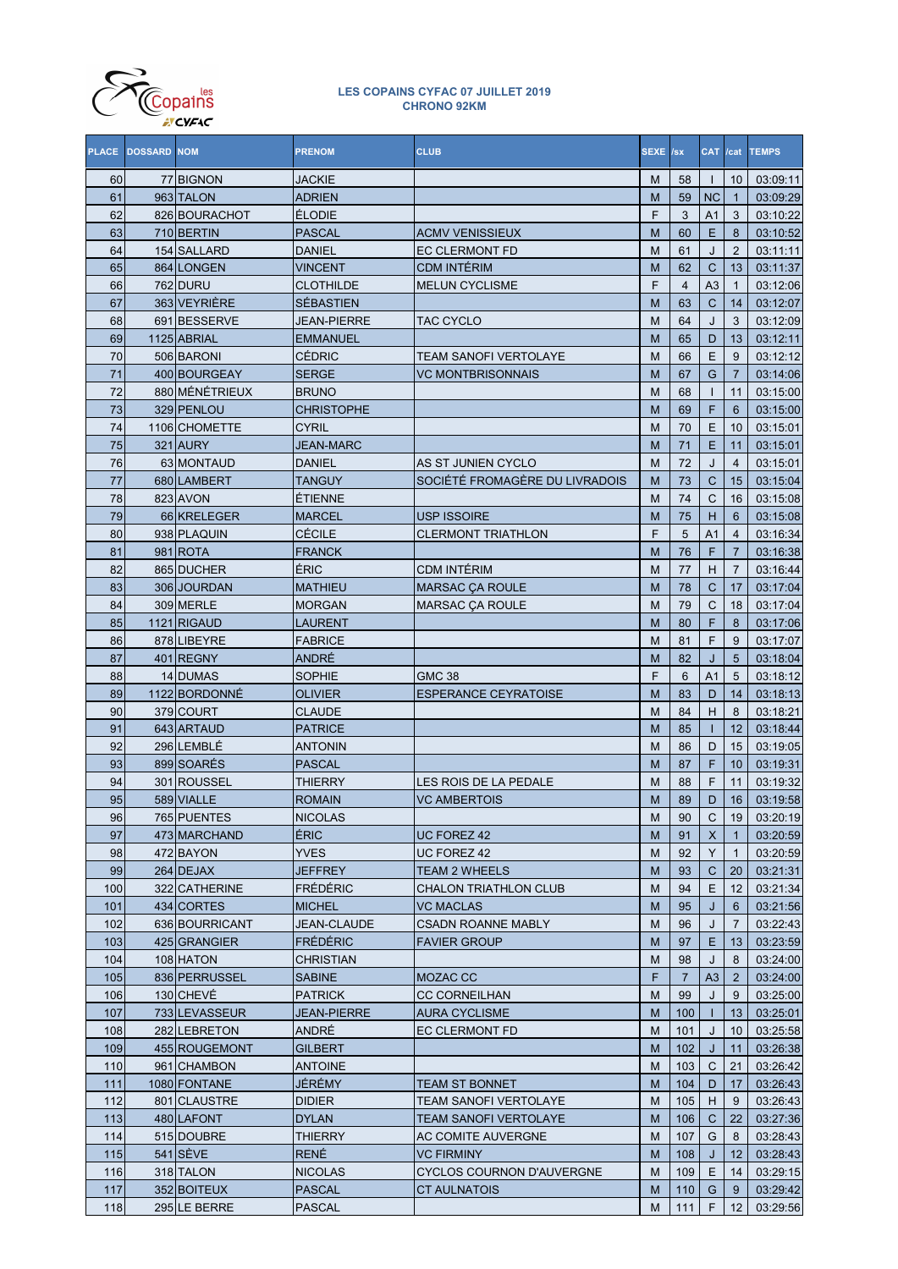

|     | PLACE DOSSARD NOM |                | <b>PRENOM</b>      | <b>CLUB</b>                    | <b>SEXE</b> | /sx            | <b>CAT</b>     | /cat           | <b>TEMPS</b> |
|-----|-------------------|----------------|--------------------|--------------------------------|-------------|----------------|----------------|----------------|--------------|
| 60  |                   | 77 BIGNON      | JACKIE             |                                | M           | 58             |                | 10             | 03:09:11     |
| 61  |                   | 963 TALON      | <b>ADRIEN</b>      |                                | M           | 59             | <b>NC</b>      | $\mathbf{1}$   | 03:09:29     |
| 62  |                   | 826 BOURACHOT  | <b>ÉLODIE</b>      |                                | F           | 3              | A <sub>1</sub> | 3              | 03:10:22     |
| 63  |                   | 710 BERTIN     | <b>PASCAL</b>      | <b>ACMV VENISSIEUX</b>         | M           | 60             | Ε              | 8              | 03:10:52     |
| 64  |                   | 154 SALLARD    | <b>DANIEL</b>      | <b>EC CLERMONT FD</b>          | M           | 61             | J              | $\overline{2}$ | 03:11:11     |
| 65  |                   | 864 LONGEN     | <b>VINCENT</b>     | <b>CDM INTERIM</b>             | M           | 62             | C              | 13             | 03:11:37     |
| 66  |                   | 762 DURU       | <b>CLOTHILDE</b>   | <b>MELUN CYCLISME</b>          | F           | $\overline{4}$ | A <sub>3</sub> | $\mathbf{1}$   | 03:12:06     |
| 67  |                   | 363 VEYRIÈRE   | <b>SÉBASTIEN</b>   |                                | M           | 63             | $\mathsf{C}$   | 14             | 03:12:07     |
| 68  |                   | 691 BESSERVE   | <b>JEAN-PIERRE</b> | <b>TAC CYCLO</b>               | M           | 64             | J              | 3              | 03:12:09     |
| 69  |                   | 1125 ABRIAL    | <b>EMMANUEL</b>    |                                | M           | 65             | D              | 13             | 03:12:11     |
| 70  |                   | 506 BARONI     | <b>CÉDRIC</b>      | <b>TEAM SANOFI VERTOLAYE</b>   | M           | 66             | E              | 9              | 03:12:12     |
| 71  |                   | 400 BOURGEAY   | <b>SERGE</b>       | <b>VC MONTBRISONNAIS</b>       | M           | 67             | G              | $\overline{7}$ | 03:14:06     |
| 72  |                   | 880 MÉNÉTRIEUX | <b>BRUNO</b>       |                                | M           | 68             |                | 11             | 03:15:00     |
| 73  |                   | 329 PENLOU     | <b>CHRISTOPHE</b>  |                                | M           | 69             | F              | 6              | 03:15:00     |
| 74  |                   | 1106 CHOMETTE  | <b>CYRIL</b>       |                                | M           | 70             | E              | 10             | 03:15:01     |
| 75  |                   | 321 AURY       | <b>JEAN-MARC</b>   |                                | M           | 71             | Ε              | 11             | 03:15:01     |
| 76  |                   | 63 MONTAUD     | <b>DANIEL</b>      | AS ST JUNIEN CYCLO             | M           | 72             | J              | $\overline{4}$ | 03:15:01     |
| 77  |                   | 680 LAMBERT    | <b>TANGUY</b>      | SOCIÉTÉ FROMAGÈRE DU LIVRADOIS | M           | 73             | C              | 15             | 03:15:04     |
| 78  |                   | 823 AVON       | <b>ÉTIENNE</b>     |                                | M           | 74             | C              | 16             | 03:15:08     |
| 79  |                   | 66 KRELEGER    | <b>MARCEL</b>      | <b>USP ISSOIRE</b>             | M           | 75             | н              | 6              | 03:15:08     |
| 80  |                   | 938 PLAQUIN    | <b>CÉCILE</b>      | <b>CLERMONT TRIATHLON</b>      | F           | 5              | A1             | $\overline{4}$ | 03:16:34     |
| 81  |                   | 981 ROTA       | <b>FRANCK</b>      |                                | M           | 76             | F              | $\overline{7}$ | 03:16:38     |
| 82  |                   | 865 DUCHER     | ÉRIC               | <b>CDM INTÉRIM</b>             | M           | 77             | H              | $\overline{7}$ | 03:16:44     |
| 83  |                   | 306 JOURDAN    | <b>MATHIEU</b>     | MARSAC ÇA ROULE                | M           | 78             | C              | 17             | 03:17:04     |
| 84  |                   | 309 MERLE      | <b>MORGAN</b>      | <b>MARSAC ÇA ROULE</b>         | M           | 79             | C              | 18             | 03:17:04     |
| 85  |                   | 1121 RIGAUD    | <b>LAURENT</b>     |                                | M           | 80             | F              | 8              | 03:17:06     |
| 86  |                   | 878 LIBEYRE    | <b>FABRICE</b>     |                                | M           | 81             | F              | 9              | 03:17:07     |
| 87  |                   | 401 REGNY      | ANDRÉ              |                                | M           | 82             | J              | 5              | 03:18:04     |
| 88  |                   | 14 DUMAS       | <b>SOPHIE</b>      | <b>GMC 38</b>                  | F           | $6\phantom{1}$ | A <sub>1</sub> | 5              | 03:18:12     |
| 89  |                   | 1122 BORDONNÉ  | <b>OLIVIER</b>     | <b>ESPERANCE CEYRATOISE</b>    | M           | 83             | D              | 14             | 03:18:13     |
| 90  |                   | 379 COURT      | <b>CLAUDE</b>      |                                | M           | 84             | н              | 8              | 03:18:21     |
| 91  |                   | 643 ARTAUD     | <b>PATRICE</b>     |                                | M           | 85             |                | 12             | 03:18:44     |
| 92  |                   | 296 LEMBLÉ     | <b>ANTONIN</b>     |                                | M           | 86             | D              | 15             | 03:19:05     |
| 93  |                   | 899 SOARÉS     | <b>PASCAL</b>      |                                | M           | 87             | F              | 10             | 03:19:31     |
| 94  |                   | 301 ROUSSEL    | THIERRY            | LES ROIS DE LA PEDALE          | M           | 88             | F              | 11             | 03:19:32     |
| 95  |                   | 589 VIALLE     | <b>ROMAIN</b>      | <b>VC AMBERTOIS</b>            | M           | 89             | D              | 16             | 03:19:58     |
| 96  |                   | 765 PUENTES    | <b>NICOLAS</b>     |                                | M           | 90             | C              | 19             | 03:20:19     |
| 97  |                   | 473 MARCHAND   | <b>ÉRIC</b>        | UC FOREZ 42                    | M           | 91             | X              | $\mathbf{1}$   | 03:20:59     |
| 98  |                   | 472 BAYON      | <b>YVES</b>        | UC FOREZ 42                    | M           | 92             | Y              | $\mathbf{1}$   | 03:20:59     |
| 99  |                   | 264 DEJAX      | <b>JEFFREY</b>     | <b>TEAM 2 WHEELS</b>           | М           | 93             | C              | 20             | 03:21:31     |
| 100 |                   | 322 CATHERINE  | <b>FRÉDÉRIC</b>    | <b>CHALON TRIATHLON CLUB</b>   | M           | 94             | Ε              | 12             | 03:21:34     |
| 101 |                   | 434 CORTES     | <b>MICHEL</b>      | <b>VC MACLAS</b>               | М           | 95             | J              | 6              | 03:21:56     |
| 102 |                   | 636 BOURRICANT | JEAN-CLAUDE        | <b>CSADN ROANNE MABLY</b>      | М           | 96             | J              | $\overline{7}$ | 03:22:43     |
| 103 |                   | 425 GRANGIER   | <b>FRÉDÉRIC</b>    | <b>FAVIER GROUP</b>            | М           | 97             | Е              | 13             | 03:23:59     |
| 104 |                   | 108 HATON      | CHRISTIAN          |                                | М           | 98             | J              | 8              | 03:24:00     |
| 105 |                   | 836 PERRUSSEL  | <b>SABINE</b>      | MOZAC CC                       | F.          | $\overline{7}$ | A3             | 2              | 03:24:00     |
| 106 |                   | 130 CHEVÉ      | <b>PATRICK</b>     | <b>CC CORNEILHAN</b>           | M           | 99             | J              | 9              | 03:25:00     |
| 107 |                   | 733 LEVASSEUR  | <b>JEAN-PIERRE</b> | <b>AURA CYCLISME</b>           | M           | 100            |                | 13             | 03:25:01     |
| 108 |                   | 282 LEBRETON   | ANDRÉ              | EC CLERMONT FD                 | М           | 101            | J              | 10             | 03:25:58     |
| 109 |                   | 455 ROUGEMONT  | <b>GILBERT</b>     |                                | M           | 102            | J              | 11             | 03:26:38     |
| 110 |                   | 961 CHAMBON    | <b>ANTOINE</b>     |                                | M           | 103            | С              | 21             | 03:26:42     |
| 111 |                   | 1080 FONTANE   | JÉRÉMY             | <b>TEAM ST BONNET</b>          | M           | 104            | D              | 17             | 03:26:43     |
| 112 |                   | 801 CLAUSTRE   | <b>DIDIER</b>      | TEAM SANOFI VERTOLAYE          | M           | 105            | н              | 9              | 03:26:43     |
| 113 |                   | 480 LAFONT     | <b>DYLAN</b>       | TEAM SANOFI VERTOLAYE          | M           | 106            | C              | 22             | 03:27:36     |
| 114 |                   | 515 DOUBRE     | THIERRY            | AC COMITE AUVERGNE             | M           | 107            | G              | 8              | 03:28:43     |
| 115 |                   | $541$ SÈVE     | <b>RENÉ</b>        | <b>VC FIRMINY</b>              | M           | 108            | J              | 12             | 03:28:43     |
| 116 |                   | 318 TALON      | <b>NICOLAS</b>     | CYCLOS COURNON D'AUVERGNE      | M           | 109            | Е              | 14             | 03:29:15     |
| 117 |                   | 352 BOITEUX    | <b>PASCAL</b>      | CT AULNATOIS                   | M           | 110            | G              | 9              | 03:29:42     |
| 118 |                   | 295 LE BERRE   | <b>PASCAL</b>      |                                | м           | 111            | F              | 12             | 03:29:56     |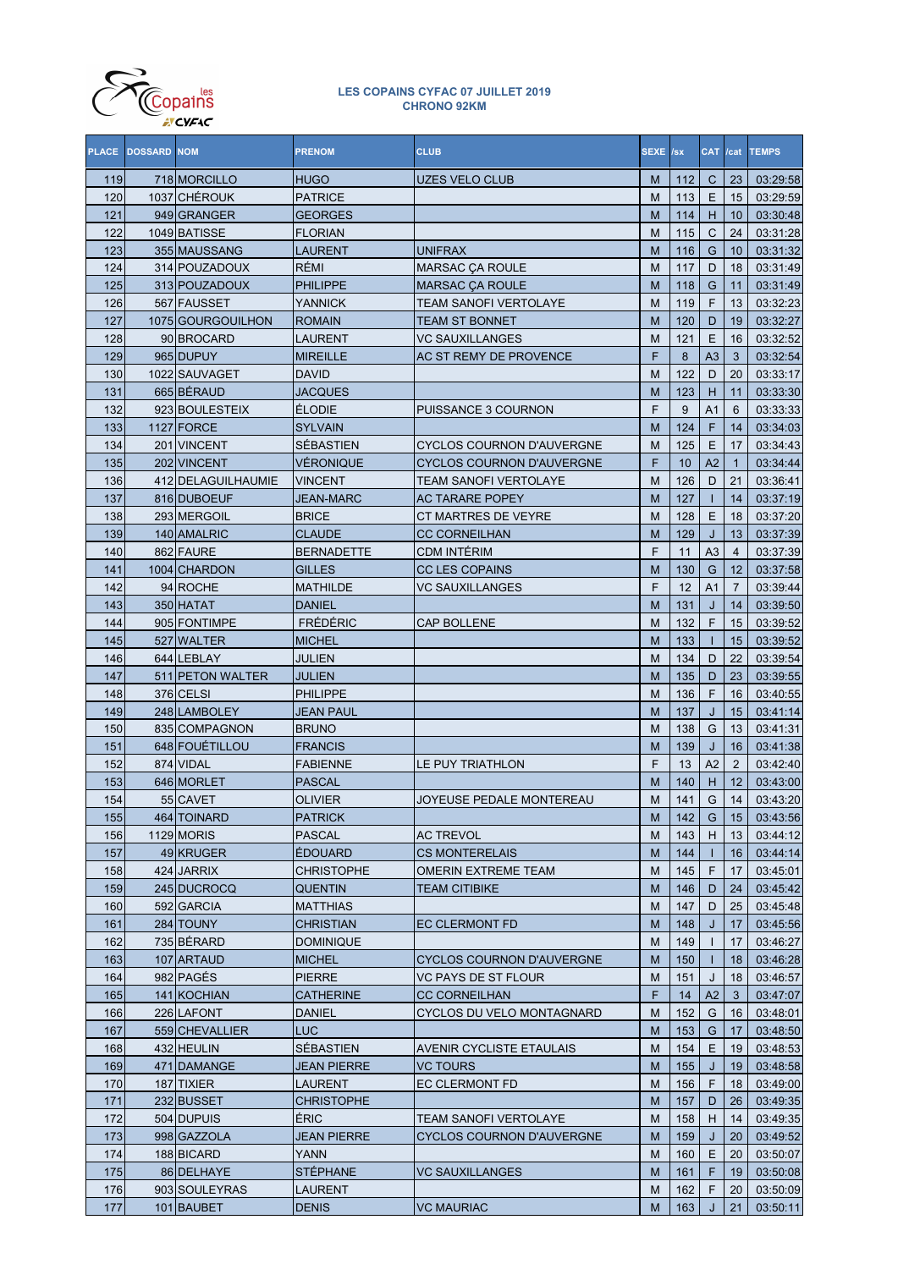

| <b>PLACE</b> | <b>DOSSARD NOM</b> |                           | <b>PRENOM</b>                   | <b>CLUB</b>                      | <b>SEXE</b> | $\sqrt{sx}$ | <b>CAT</b>          | /cat           | <b>TEMPS</b>         |
|--------------|--------------------|---------------------------|---------------------------------|----------------------------------|-------------|-------------|---------------------|----------------|----------------------|
| 119          |                    | 718 MORCILLO              | <b>HUGO</b>                     | <b>UZES VELO CLUB</b>            | M           | 112         | C                   | 23             | 03:29:58             |
| 120          |                    | 1037 CHÉROUK              | <b>PATRICE</b>                  |                                  | М           | 113         | E                   | 15             | 03:29:59             |
| 121          |                    | 949 GRANGER               | <b>GEORGES</b>                  |                                  | M           | 114         | н                   | 10             | 03:30:48             |
| 122          |                    | 1049 BATISSE              | <b>FLORIAN</b>                  |                                  | M           | 115         | C                   | 24             | 03:31:28             |
| 123          |                    | 355 MAUSSANG              | <b>LAURENT</b>                  | <b>UNIFRAX</b>                   | M           | 116         | G                   | 10             | 03:31:32             |
| 124          |                    | 314 POUZADOUX             | RÉMI                            | <b>MARSAC ÇA ROULE</b>           | M           | 117         | D                   | 18             | 03:31:49             |
| 125          |                    | 313 POUZADOUX             | <b>PHILIPPE</b>                 | <b>MARSAC ÇA ROULE</b>           | M           | 118         | G                   | 11             | 03:31:49             |
| 126          |                    | 567 FAUSSET               | YANNICK                         | <b>TEAM SANOFI VERTOLAYE</b>     | М           | 119         | F                   | 13             | 03:32:23             |
| 127          |                    | 1075 GOURGOUILHON         | <b>ROMAIN</b>                   | <b>TEAM ST BONNET</b>            | M           | 120         | D                   | 19             | 03:32:27             |
| 128          |                    | 90 BROCARD                | <b>LAURENT</b>                  | <b>VC SAUXILLANGES</b>           | М           | 121         | E                   | 16             | 03:32:52             |
| 129          |                    | 965 DUPUY                 | <b>MIREILLE</b>                 | AC ST REMY DE PROVENCE           | F           | 8           | A <sub>3</sub>      | 3              | 03:32:54             |
| 130          |                    | 1022 SAUVAGET             | <b>DAVID</b>                    |                                  | М           | 122         | D                   | 20             | 03:33:17             |
| 131          |                    | 665 BERAUD                | <b>JACQUES</b>                  |                                  | M<br>F      | 123         | н                   | 11             | 03:33:30             |
| 132<br>133   |                    | 923 BOULESTEIX            | <b>ÉLODIE</b><br><b>SYLVAIN</b> | PUISSANCE 3 COURNON              | M           | 9<br>124    | A <sub>1</sub><br>F | 6<br>14        | 03:33:33             |
| 134          |                    | 1127 FORCE<br>201 VINCENT | <b>SÉBASTIEN</b>                | <b>CYCLOS COURNON D'AUVERGNE</b> | M           | 125         | Ε                   | 17             | 03:34:03             |
| 135          |                    | 202 VINCENT               | <b>VÉRONIQUE</b>                | <b>CYCLOS COURNON D'AUVERGNE</b> | F           | 10          | A2                  | $\mathbf{1}$   | 03:34:43<br>03:34:44 |
| 136          |                    | 412 DELAGUILHAUMIE        | <b>VINCENT</b>                  | <b>TEAM SANOFI VERTOLAYE</b>     | M           | 126         | D                   | 21             | 03:36:41             |
| 137          |                    | 816 DUBOEUF               | <b>JEAN-MARC</b>                | <b>AC TARARE POPEY</b>           | M           | 127         |                     | 14             | 03:37:19             |
| 138          |                    | 293 MERGOIL               | <b>BRICE</b>                    | <b>CT MARTRES DE VEYRE</b>       | М           | 128         | Ε                   | 18             | 03:37:20             |
| 139          |                    | 140 AMALRIC               | <b>CLAUDE</b>                   | <b>CC CORNEILHAN</b>             | M           | 129         | J                   | 13             | 03:37:39             |
| 140          |                    | 862 FAURE                 | <b>BERNADETTE</b>               | <b>CDM INTÉRIM</b>               | F           | 11          | A <sub>3</sub>      | 4              | 03:37:39             |
| 141          |                    | 1004 CHARDON              | <b>GILLES</b>                   | <b>CC LES COPAINS</b>            | М           | 130         | G                   | 12             | 03:37:58             |
| 142          |                    | 94 ROCHE                  | <b>MATHILDE</b>                 | <b>VC SAUXILLANGES</b>           | F           | 12          | A <sub>1</sub>      | $\overline{7}$ | 03:39:44             |
| 143          |                    | 350 HATAT                 | <b>DANIEL</b>                   |                                  | M           | 131         | J                   | 14             | 03:39:50             |
| 144          |                    | 905 FONTIMPE              | <b>FRÉDÉRIC</b>                 | <b>CAP BOLLENE</b>               | M           | 132         | F                   | 15             | 03:39:52             |
| 145          |                    | 527 WALTER                | <b>MICHEL</b>                   |                                  | M           | 133         |                     | 15             | 03:39:52             |
| 146          |                    | 644 LEBLAY                | JULIEN                          |                                  | М           | 134         | D                   | 22             | 03:39:54             |
| 147          |                    | 511 PETON WALTER          | <b>JULIEN</b>                   |                                  | M           | 135         | D                   | 23             | 03:39:55             |
| 148          |                    | 376 CELSI                 | <b>PHILIPPE</b>                 |                                  | М           | 136         | F                   | 16             | 03:40:55             |
| 149          |                    | 248 LAMBOLEY              | <b>JEAN PAUL</b>                |                                  | M           | 137         | J                   | 15             | 03:41:14             |
| 150          |                    | 835 COMPAGNON             | <b>BRUNO</b>                    |                                  | М           | 138         | G                   | 13             | 03:41:31             |
| 151          |                    | 648 FOUÉTILLOU            | <b>FRANCIS</b>                  |                                  | M           | 139         | J                   | 16             | 03:41:38             |
| 152          |                    | 874 VIDAL                 | <b>FABIENNE</b>                 | LE PUY TRIATHLON                 | F           | 13          | A2                  | $\overline{2}$ | 03:42:40             |
| 153          |                    | 646 MORLET                | <b>PASCAL</b>                   |                                  | M           | 140         | н                   | 12             | 03:43:00             |
| 154          |                    | 55 CAVET                  | <b>OLIVIER</b>                  | JOYEUSE PEDALE MONTEREAU         | М           | 141         | G                   | 14             | 03:43:20             |
| 155          |                    | 464 TOINARD               | <b>PATRICK</b>                  |                                  | M           | 142         | G                   | 15             | 03:43:56             |
| 156          |                    | 1129 MORIS                | <b>PASCAL</b>                   | <b>AC TREVOL</b>                 | M           | 143         | Н.                  | 13             | 03:44:12             |
| 157          |                    | 49 KRUGER                 | <b>ÉDOUARD</b>                  | <b>CS MONTERELAIS</b>            | M           | 144         |                     | 16             | 03:44:14             |
| 158          |                    | 424 JARRIX                | <b>CHRISTOPHE</b>               | OMERIN EXTREME TEAM              | M           | 145         | F                   | 17             | 03:45:01             |
| 159          |                    | 245 DUCROCQ               | <b>QUENTIN</b>                  | <b>TEAM CITIBIKE</b>             | M           | 146         | D                   | 24             | 03:45:42             |
| 160          |                    | 592 GARCIA                | <b>MATTHIAS</b>                 |                                  | M           | 147         | D                   | 25             | 03:45:48             |
| 161          |                    | 284 TOUNY                 | <b>CHRISTIAN</b>                | <b>EC CLERMONT FD</b>            | M           | 148         | J                   | 17             | 03:45:56             |
| 162          |                    | 735 BÉRARD                | <b>DOMINIQUE</b>                |                                  | M           | 149         |                     | 17             | 03:46:27             |
| 163          |                    | 107 ARTAUD                | <b>MICHEL</b>                   | <b>CYCLOS COURNON D'AUVERGNE</b> | M           | 150         |                     | 18             | 03:46:28             |
| 164          |                    | 982 PAGÉS                 | <b>PIERRE</b>                   | VC PAYS DE ST FLOUR              | М           | 151         | J                   | 18             | 03:46:57             |
| 165          |                    | 141 KOCHIAN               | <b>CATHERINE</b>                | <b>CC CORNEILHAN</b>             | F           | 14          | A2                  | 3              | 03:47:07             |
| 166          |                    | 226 LAFONT                | <b>DANIEL</b>                   | CYCLOS DU VELO MONTAGNARD        | М           | 152         | G                   | 16             | 03:48:01             |
| 167          |                    | 559 CHEVALLIER            | <b>LUC</b>                      |                                  | М           | 153         | G                   | 17             | 03:48:50             |
| 168          |                    | 432 HEULIN                | <b>SÉBASTIEN</b>                | AVENIR CYCLISTE ETAULAIS         | М           | 154         | Ε                   | 19             | 03:48:53             |
| 169          |                    | 471 DAMANGE               | JEAN PIERRE                     | <b>VC TOURS</b>                  | M           | 155         | J                   | 19             | 03:48:58             |
| 170          |                    | 187 TIXIER                | LAURENT                         | <b>EC CLERMONT FD</b>            | М           | 156         | F                   | 18             | 03:49:00             |
| 171          |                    | 232 BUSSET                | CHRISTOPHE                      |                                  | М           | 157         | D                   | 26             | 03:49:35             |
| 172          |                    | 504 DUPUIS                | <b>ÉRIC</b>                     | <b>TEAM SANOFI VERTOLAYE</b>     | M           | 158         | н                   | 14             | 03:49:35             |
| 173          |                    | 998 GAZZOLA               | <b>JEAN PIERRE</b>              | CYCLOS COURNON D'AUVERGNE        | M           | 159         | J                   | 20             | 03:49:52             |
| 174          |                    | 188 BICARD                | YANN                            |                                  | М           | 160         | Ε                   | 20             | 03:50:07             |
| 175          |                    | 86 DELHAYE                | <b>STÉPHANE</b>                 | <b>VC SAUXILLANGES</b>           | М           | 161         | F                   | 19             | 03:50:08             |
| 176          |                    | 903 SOULEYRAS             | LAURENT                         |                                  | M           | 162         | F                   | 20             | 03:50:09             |
| 177          |                    | 101 BAUBET                | <b>DENIS</b>                    | <b>VC MAURIAC</b>                | M           | 163         | J                   | 21             | 03:50:11             |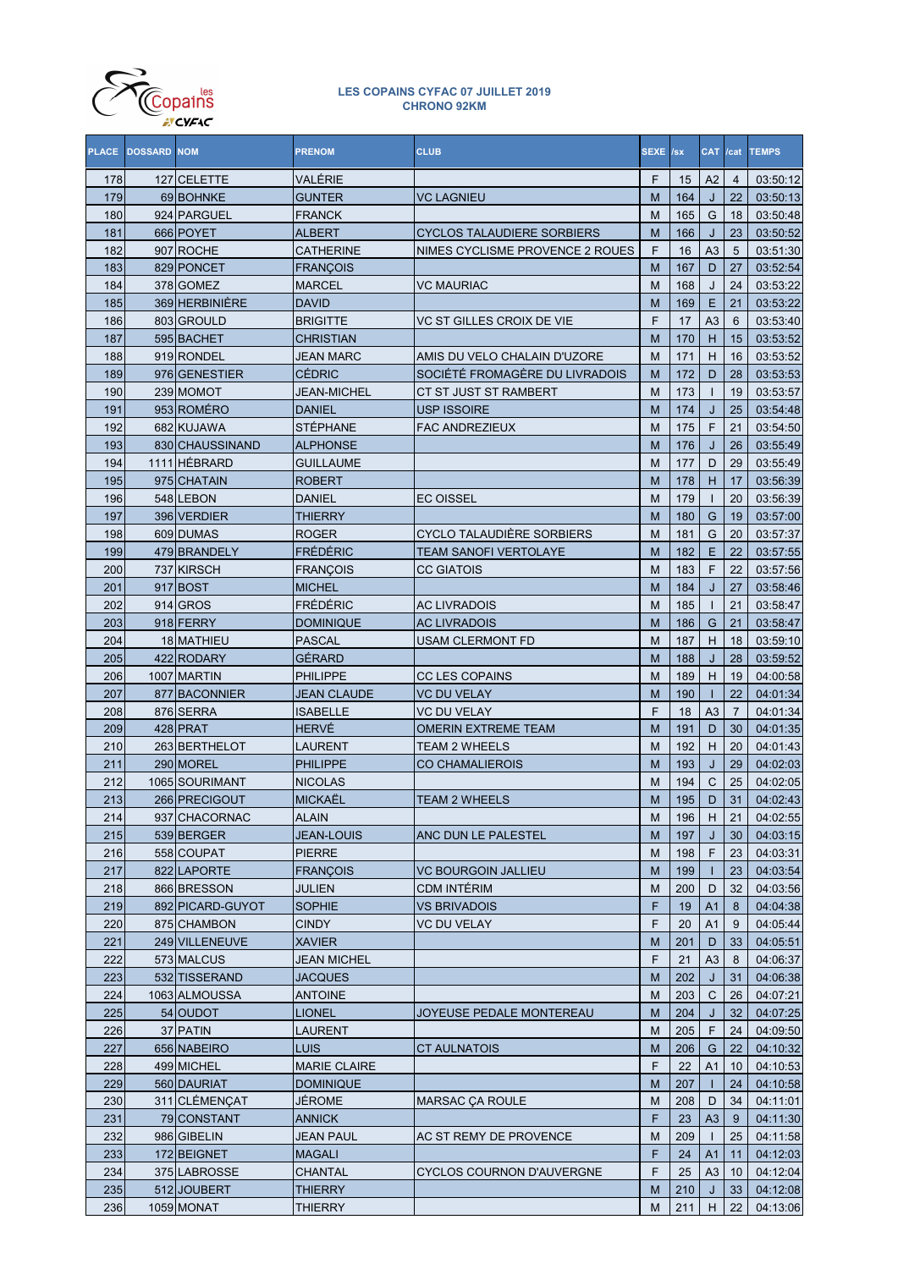

| <b>PLACE</b> | <b>DOSSARD NOM</b> |                           | <b>PRENOM</b>         | <b>CLUB</b>                                | <b>SEXE</b> | /sx        | <b>CAT</b>     | /cat           | <b>TEMPS</b>         |
|--------------|--------------------|---------------------------|-----------------------|--------------------------------------------|-------------|------------|----------------|----------------|----------------------|
| 178          |                    | 127 CELETTE               | VALÉRIE               |                                            | F           | 15         | A2             | $\overline{4}$ | 03:50:12             |
| 179          |                    | 69 BOHNKE                 | <b>GUNTER</b>         | <b>VC LAGNIEU</b>                          | M           | 164        | J              | 22             | 03:50:13             |
| 180          |                    | 924 PARGUEL               | <b>FRANCK</b>         |                                            | M           | 165        | G              | 18             | 03:50:48             |
| 181          |                    | 666 POYET                 | <b>ALBERT</b>         | <b>CYCLOS TALAUDIERE SORBIERS</b>          | M           | 166        | J              | 23             | 03:50:52             |
| 182          |                    | 907 ROCHE                 | <b>CATHERINE</b>      | NIMES CYCLISME PROVENCE 2 ROUES            | F           | 16         | A <sub>3</sub> | 5              | 03:51:30             |
| 183          |                    | 829 PONCET                | <b>FRANÇOIS</b>       |                                            | M           | 167        | D              | 27             | 03:52:54             |
| 184          |                    | 378 GOMEZ                 | <b>MARCEL</b>         | <b>VC MAURIAC</b>                          | M           | 168        | J              | 24             | 03:53:22             |
| 185          |                    | 369 HERBINIÈRE            | <b>DAVID</b>          |                                            | M           | 169        | E              | 21             | 03:53:22             |
| 186          |                    | 803 GROULD                | <b>BRIGITTE</b>       | VC ST GILLES CROIX DE VIE                  | F           | 17         | A <sub>3</sub> | 6              | 03:53:40             |
| 187          |                    | 595 BACHET                | <b>CHRISTIAN</b>      |                                            | M           | 170        | н              | 15             | 03:53:52             |
| 188          |                    | 919 RONDEL                | JEAN MARC             | AMIS DU VELO CHALAIN D'UZORE               | M           | 171        | н              | 16             | 03:53:52             |
| 189          |                    | 976 GENESTIER             | <b>CÉDRIC</b>         | SOCIÉTÉ FROMAGÈRE DU LIVRADOIS             | M           | 172        | D              | 28             | 03:53:53             |
| 190          |                    | 239 MOMOT                 | JEAN-MICHEL           | CT ST JUST ST RAMBERT                      | M           | 173        |                | 19             | 03:53:57             |
| 191          |                    | 953 ROMÉRO                | <b>DANIEL</b>         | <b>USP ISSOIRE</b>                         | M           | 174        | J              | 25             | 03:54:48             |
| 192          |                    | 682 KUJAWA                | <b>STÉPHANE</b>       | <b>FAC ANDREZIEUX</b>                      | M           | 175        | F              | 21             | 03:54:50             |
| 193          |                    | 830 CHAUSSINAND           | <b>ALPHONSE</b>       |                                            | M           | 176        | J              | 26             | 03:55:49             |
| 194          |                    | 1111 HÉBRARD              | <b>GUILLAUME</b>      |                                            | M           | 177        | D              | 29             | 03:55:49             |
| 195          |                    | 975 CHATAIN               | <b>ROBERT</b>         |                                            | M           | 178        | н              | 17             | 03:56:39             |
| 196          |                    | 548 LEBON                 | <b>DANIEL</b>         | <b>EC OISSEL</b>                           | M           | 179        |                | 20             | 03:56:39             |
| 197          |                    | 396 VERDIER               | THIERRY               |                                            | M           | 180        | G              | 19             | 03:57:00             |
| 198          |                    | 609 DUMAS<br>479 BRANDELY | <b>ROGER</b>          | CYCLO TALAUDIÈRE SORBIERS                  | M           | 181        | G              | 20<br>22       | 03:57:37             |
| 199          |                    |                           | <b>FRÉDÉRIC</b>       | <b>TEAM SANOFI VERTOLAYE</b>               | M           | 182        | Ε<br>F         |                | 03:57:55             |
| 200          |                    | 737 KIRSCH                | <b>FRANCOIS</b>       | CC GIATOIS                                 | M           | 183        |                | 22             | 03:57:56             |
| 201          |                    | 917 BOST                  | <b>MICHEL</b>         |                                            | M           | 184        | J              | 27             | 03:58:46             |
| 202<br>203   |                    | 914 GROS<br>918 FERRY     | FRÉDÉRIC<br>DOMINIQUE | <b>AC LIVRADOIS</b><br><b>AC LIVRADOIS</b> | M<br>M      | 185<br>186 | G              | 21<br>21       | 03:58:47<br>03:58:47 |
| 204          |                    | 18 MATHIEU                | <b>PASCAL</b>         | <b>USAM CLERMONT FD</b>                    | M           | 187        | H              | 18             | 03:59:10             |
| 205          |                    | 422 RODARY                | GÉRARD                |                                            | M           | 188        | J              | 28             | 03:59:52             |
| 206          |                    | 1007 MARTIN               | <b>PHILIPPE</b>       | <b>CC LES COPAINS</b>                      | M           | 189        | н              | 19             | 04:00:58             |
| 207          |                    | 877 BACONNIER             | <b>JEAN CLAUDE</b>    | <b>VC DU VELAY</b>                         | M           | 190        |                | 22             | 04:01:34             |
| 208          |                    | 876 SERRA                 | <b>ISABELLE</b>       | VC DU VELAY                                | F           | 18         | A <sub>3</sub> | $\overline{7}$ | 04:01:34             |
| 209          |                    | 428 PRAT                  | HERVÉ                 | <b>OMERIN EXTREME TEAM</b>                 | M           | 191        | D              | 30             | 04:01:35             |
| 210          |                    | 263 BERTHELOT             | <b>LAURENT</b>        | TEAM 2 WHEELS                              | M           | 192        | н              | 20             | 04:01:43             |
| 211          |                    | 290 MOREL                 | <b>PHILIPPE</b>       | <b>CO CHAMALIEROIS</b>                     | M           | 193        | J              | 29             | 04:02:03             |
| 212          |                    | 1065 SOURIMANT            | <b>NICOLAS</b>        |                                            | M           | 194        | C              | 25             | 04:02:05             |
| 213          |                    | 266 PRECIGOUT             | <b>MICKAËL</b>        | <b>TEAM 2 WHEELS</b>                       | M           | 195        | D              | 31             | 04:02:43             |
| 214          |                    | 937 CHACORNAC             | <b>ALAIN</b>          |                                            | M           | 196        | H              | 21             | 04:02:55             |
| 215          |                    | 539 BERGER                | <b>JEAN-LOUIS</b>     | ANC DUN LE PALESTEL                        | M           | 197        | J              | 30             | 04:03:15             |
| 216          |                    | 558 COUPAT                | <b>PIERRE</b>         |                                            | M           | 198        | F              | 23             | 04:03:31             |
| 217          |                    | 822 LAPORTE               | <b>FRANCOIS</b>       | <b>VC BOURGOIN JALLIEU</b>                 | M           | 199        |                | 23             | 04:03:54             |
| 218          |                    | 866 BRESSON               | JULIEN                | <b>CDM INTÉRIM</b>                         | M           | 200        | D              | 32             | 04:03:56             |
| 219          |                    | 892 PICARD-GUYOT          | <b>SOPHIE</b>         | <b>VS BRIVADOIS</b>                        | F           | 19         | A <sub>1</sub> | 8              | 04:04:38             |
| 220          |                    | 875 CHAMBON               | <b>CINDY</b>          | VC DU VELAY                                | F           | 20         | A1             | 9              | 04:05:44             |
| 221          |                    | 249 VILLENEUVE            | <b>XAVIER</b>         |                                            | M           | 201        | D              | 33             | 04:05:51             |
| 222          |                    | 573 MALCUS                | JEAN MICHEL           |                                            | F           | 21         | A <sub>3</sub> | 8              | 04:06:37             |
| 223          |                    | 532 TISSERAND             | JACQUES               |                                            | M           | 202        | J              | 31             | 04:06:38             |
| 224          |                    | 1063 ALMOUSSA             | ANTOINE               |                                            | M           | 203        | C              | 26             | 04:07:21             |
| 225          |                    | 54 OUDOT                  | <b>LIONEL</b>         | JOYEUSE PEDALE MONTEREAU                   | M           | 204        | J              | 32             | 04:07:25             |
| 226          |                    | 37 PATIN                  | LAURENT               |                                            | M           | 205        | F              | 24             | 04:09:50             |
| 227          |                    | 656 NABEIRO               | LUIS                  | <b>CT AULNATOIS</b>                        | M           | 206        | G              | 22             | 04:10:32             |
| 228          |                    | 499 MICHEL                | <b>MARIE CLAIRE</b>   |                                            | F           | 22         | A <sub>1</sub> | 10             | 04:10:53             |
| 229          |                    | 560 DAURIAT               | DOMINIQUE             |                                            | M           | 207        |                | 24             | 04:10:58             |
| 230          |                    | 311 CLÉMENÇAT             | JÉROME                | MARSAC ÇA ROULE                            | M           | 208        | D              | 34             | 04:11:01             |
| 231          |                    | 79 CONSTANT               | <b>ANNICK</b>         |                                            | F.          | 23         | A <sub>3</sub> | 9              | 04:11:30             |
| 232          |                    | 986 GIBELIN               | JEAN PAUL             | AC ST REMY DE PROVENCE                     | M           | 209        |                | 25             | 04:11:58             |
| 233          |                    | 172 BEIGNET               | MAGALI                |                                            | F           | 24         | A <sub>1</sub> | 11             | 04:12:03             |
| 234          |                    | 375 LABROSSE              | CHANTAL               | CYCLOS COURNON D'AUVERGNE                  | F           | 25         | A <sub>3</sub> | 10             | 04:12:04             |
| 235          |                    | 512 JOUBERT               | <b>THIERRY</b>        |                                            | M           | 210        | J              | 33             | 04:12:08             |
| 236          |                    | 1059 MONAT                | <b>THIERRY</b>        |                                            | M           | 211        | H              | 22             | 04:13:06             |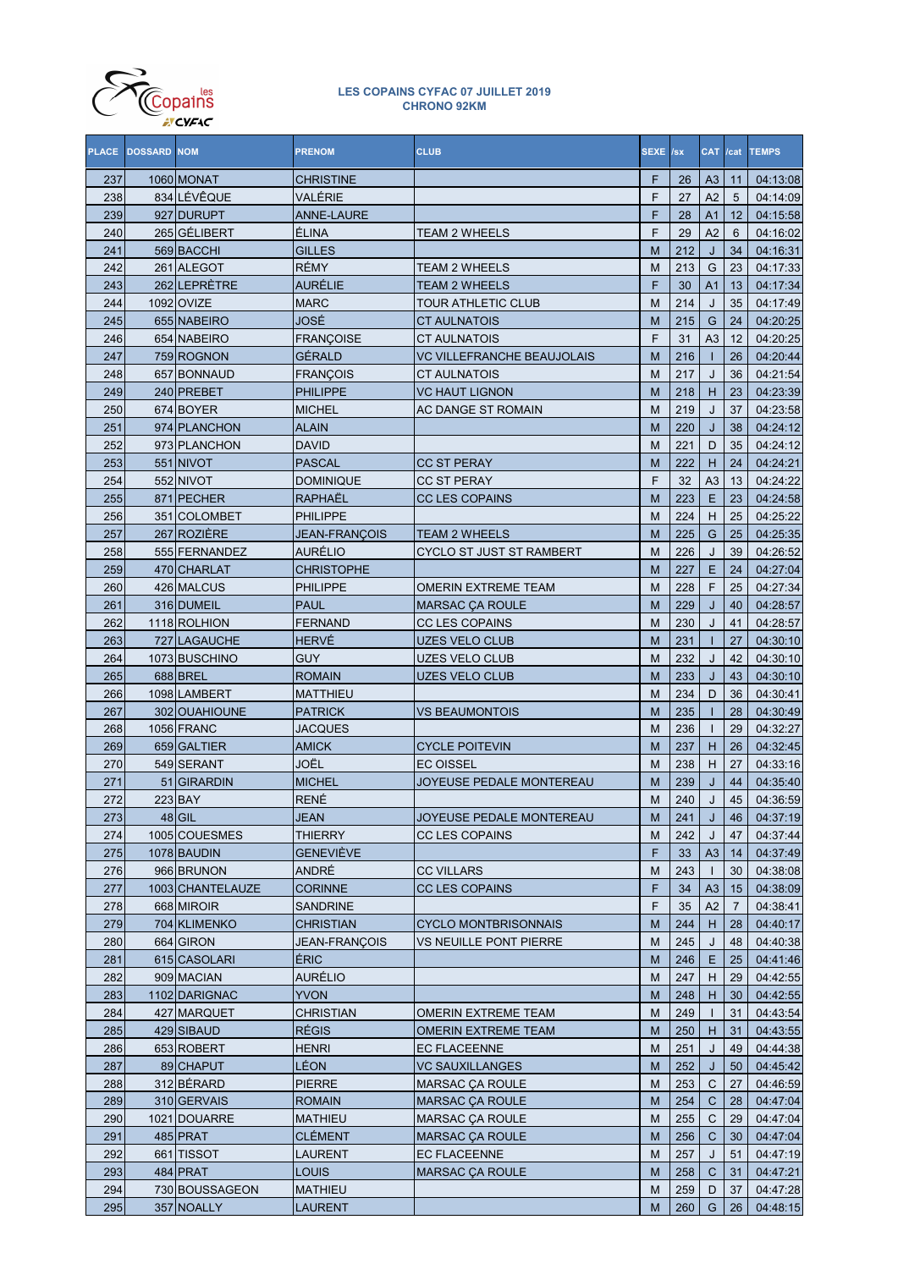

|     | PLACE DOSSARD NOM |                   | <b>PRENOM</b>        | <b>CLUB</b>                                     | SEXE /sx |     | <b>CAT</b>     | /cat           | <b>TEMPS</b> |
|-----|-------------------|-------------------|----------------------|-------------------------------------------------|----------|-----|----------------|----------------|--------------|
| 237 |                   | 1060 MONAT        | <b>CHRISTINE</b>     |                                                 | F        | 26  | A <sub>3</sub> | 11             | 04:13:08     |
| 238 |                   | 834 LÉVÊQUE       | VALÉRIE              |                                                 | F        | 27  | A2             | 5              | 04:14:09     |
| 239 |                   | 927 DURUPT        | <b>ANNE-LAURE</b>    |                                                 | F        | 28  | A <sub>1</sub> | 12             | 04:15:58     |
| 240 |                   | 265 GÉLIBERT      | <b>ÉLINA</b>         | <b>TEAM 2 WHEELS</b>                            | F        | 29  | A2             | 6              | 04:16:02     |
| 241 |                   | 569 BACCHI        | <b>GILLES</b>        |                                                 | M        | 212 | J              | 34             | 04:16:31     |
| 242 |                   | 261 ALEGOT        | <b>RÉMY</b>          | <b>TEAM 2 WHEELS</b>                            | M        | 213 | G              | 23             | 04:17:33     |
| 243 |                   | 262 LEPRÈTRE      | <b>AURÉLIE</b>       | <b>TEAM 2 WHEELS</b>                            | F        | 30  | A <sub>1</sub> | 13             | 04:17:34     |
| 244 |                   | 1092 OVIZE        | <b>MARC</b>          | <b>TOUR ATHLETIC CLUB</b>                       | М        | 214 | J              | 35             | 04:17:49     |
| 245 |                   | 655 NABEIRO       | JOSÉ                 | <b>CT AULNATOIS</b>                             | M        | 215 | G              | 24             | 04:20:25     |
| 246 |                   | 654 NABEIRO       | <b>FRANCOISE</b>     | <b>CT AULNATOIS</b>                             | F        | 31  | A3             | 12             | 04:20:25     |
| 247 |                   | 759 ROGNON        | <b>GÉRALD</b>        | <b>VC VILLEFRANCHE BEAUJOLAIS</b>               | M        | 216 |                | 26             | 04:20:44     |
| 248 |                   | 657 BONNAUD       | <b>FRANÇOIS</b>      | <b>CT AULNATOIS</b>                             | M        | 217 | J              | 36             | 04:21:54     |
| 249 |                   | 240 PREBET        | <b>PHILIPPE</b>      | <b>VC HAUT LIGNON</b>                           | M        | 218 | н              | 23             | 04:23:39     |
| 250 |                   | 674 BOYER         | <b>MICHEL</b>        | AC DANGE ST ROMAIN                              | M        | 219 | J              | 37             | 04:23:58     |
| 251 |                   | 974 PLANCHON      | <b>ALAIN</b>         |                                                 | M        | 220 | J              | 38             | 04:24:12     |
| 252 |                   | 973 PLANCHON      | <b>DAVID</b>         |                                                 | M        | 221 | D              | 35             | 04:24:12     |
| 253 |                   | 551 NIVOT         | <b>PASCAL</b>        | <b>CC ST PERAY</b>                              | M        | 222 | н              | 24             | 04:24:21     |
| 254 |                   | 552 NIVOT         | <b>DOMINIQUE</b>     | <b>CC ST PERAY</b>                              | F        | 32  | A <sub>3</sub> | 13             | 04:24:22     |
| 255 |                   | 871 PECHER        | RAPHAËL              | <b>CC LES COPAINS</b>                           | M        | 223 | E              | 23             | 04:24:58     |
| 256 |                   | 351 COLOMBET      | <b>PHILIPPE</b>      |                                                 | М        | 224 | H              | 25             | 04:25:22     |
| 257 |                   | 267 ROZIÈRE       | <b>JEAN-FRANCOIS</b> | <b>TEAM 2 WHEELS</b>                            | M        | 225 | G              | 25             | 04:25:35     |
| 258 |                   | 555 FERNANDEZ     | <b>AURÉLIO</b>       | CYCLO ST JUST ST RAMBERT                        | M        | 226 | J              | 39             | 04:26:52     |
| 259 |                   | 470 CHARLAT       | <b>CHRISTOPHE</b>    |                                                 | M        | 227 | E              | 24             | 04:27:04     |
| 260 |                   | 426 MALCUS        | <b>PHILIPPE</b>      | <b>OMERIN EXTREME TEAM</b>                      | M        | 228 | F              | 25             | 04:27:34     |
| 261 |                   | 316 DUMEIL        | <b>PAUL</b>          |                                                 | M        | 229 | J              | 40             | 04:28:57     |
| 262 |                   | 1118 ROLHION      | <b>FERNAND</b>       | <b>MARSAC ÇA ROULE</b><br><b>CC LES COPAINS</b> | M        | 230 | J              | 41             | 04:28:57     |
| 263 |                   | 727 LAGAUCHE      | <b>HERVÉ</b>         | <b>UZES VELO CLUB</b>                           | M        | 231 |                | 27             |              |
|     |                   |                   |                      |                                                 |          |     |                |                | 04:30:10     |
| 264 |                   | 1073 BUSCHINO     | <b>GUY</b>           | UZES VELO CLUB                                  | M        | 232 | J              | 42             | 04:30:10     |
| 265 |                   | 688 BREL          | <b>ROMAIN</b>        | <b>UZES VELO CLUB</b>                           | M        | 233 | J<br>D         | 43             | 04:30:10     |
| 266 |                   | 1098 LAMBERT      | <b>MATTHIEU</b>      |                                                 | M        | 234 |                | 36             | 04:30:41     |
| 267 |                   | 302 OUAHIOUNE     | <b>PATRICK</b>       | <b>VS BEAUMONTOIS</b>                           | M        | 235 |                | 28             | 04:30:49     |
| 268 |                   | <b>1056 FRANC</b> | <b>JACQUES</b>       |                                                 | М        | 236 |                | 29             | 04:32:27     |
| 269 |                   | 659 GALTIER       | <b>AMICK</b>         | <b>CYCLE POITEVIN</b>                           | M        | 237 | н              | 26             | 04:32:45     |
| 270 |                   | 549 SERANT        | JOËL                 | <b>EC OISSEL</b>                                | М        | 238 | н              | 27             | 04:33:16     |
| 271 |                   | 51 GIRARDIN       | <b>MICHEL</b>        | JOYEUSE PEDALE MONTEREAU                        | M        | 239 | J              | 44             | 04:35:40     |
| 272 |                   | 223 BAY           | <b>RENÉ</b>          |                                                 | M        | 240 | J              | 45             | 04:36:59     |
| 273 |                   | $48$ GIL          | <b>JEAN</b>          | JOYEUSE PEDALE MONTEREAU                        | M        | 241 | J              | 46             | 04:37:19     |
| 274 |                   | 1005 COUESMES     | <b>THIERRY</b>       | <b>CC LES COPAINS</b>                           | М        | 242 | J              | 47             | 04:37:44     |
| 275 |                   | 1078 BAUDIN       | <b>GENEVIÈVE</b>     |                                                 | F        | 33  | A3             | 14             | 04:37:49     |
| 276 |                   | 966 BRUNON        | ANDRÉ                | <b>CC VILLARS</b>                               | М        | 243 |                | 30             | 04:38:08     |
| 277 |                   | 1003 CHANTELAUZE  | <b>CORINNE</b>       | <b>CC LES COPAINS</b>                           | F        | 34  | A3             | 15             | 04:38:09     |
| 278 |                   | 668 MIROIR        | SANDRINE             |                                                 | F        | 35  | A2             | $\overline{7}$ | 04:38:41     |
| 279 |                   | 704 KLIMENKO      | <b>CHRISTIAN</b>     | <b>CYCLO MONTBRISONNAIS</b>                     | M        | 244 | Н.             | 28             | 04:40:17     |
| 280 |                   | 664 GIRON         | <b>JEAN-FRANÇOIS</b> | VS NEUILLE PONT PIERRE                          | М        | 245 | J              | 48             | 04:40:38     |
| 281 |                   | 615 CASOLARI      | <b>ÉRIC</b>          |                                                 | M        | 246 | E.             | 25             | 04:41:46     |
| 282 |                   | 909 MACIAN        | AURÉLIO              |                                                 | М        | 247 | H.             | 29             | 04:42:55     |
| 283 |                   | 1102 DARIGNAC     | <b>YVON</b>          |                                                 | М        | 248 | H.             | 30             | 04:42:55     |
| 284 |                   | 427 MARQUET       | <b>CHRISTIAN</b>     | OMERIN EXTREME TEAM                             | М        | 249 |                | 31             | 04:43:54     |
| 285 |                   | 429 SIBAUD        | <b>RÉGIS</b>         | OMERIN EXTREME TEAM                             | M        | 250 | н              | 31             | 04:43:55     |
| 286 |                   | 653 ROBERT        | <b>HENRI</b>         | <b>EC FLACEENNE</b>                             | М        | 251 | J              | 49             | 04:44:38     |
| 287 |                   | 89 CHAPUT         | LÉON                 | <b>VC SAUXILLANGES</b>                          | М        | 252 | J              | 50             | 04:45:42     |
| 288 |                   | 312 BÉRARD        | <b>PIERRE</b>        | <b>MARSAC ÇA ROULE</b>                          | М        | 253 | С              | 27             | 04:46:59     |
| 289 |                   | 310 GERVAIS       | <b>ROMAIN</b>        | MARSAC ÇA ROULE                                 | M        | 254 | C              | 28             | 04:47:04     |
| 290 |                   | 1021 DOUARRE      | MATHIEU              | MARSAC ÇA ROULE                                 | М        | 255 | $\mathsf C$    | 29             | 04:47:04     |
| 291 |                   | 485 PRAT          | <b>CLÉMENT</b>       | <b>MARSAC ÇA ROULE</b>                          | M        | 256 | C              | 30             | 04:47:04     |
| 292 |                   | 661 TISSOT        | LAURENT              | <b>EC FLACEENNE</b>                             | М        | 257 | J              | 51             | 04:47:19     |
| 293 |                   | 484 PRAT          | <b>LOUIS</b>         | <b>MARSAC ÇA ROULE</b>                          | M        | 258 | C              | 31             | 04:47:21     |
| 294 |                   | 730 BOUSSAGEON    | MATHIEU              |                                                 | М        | 259 | D              | 37             | 04:47:28     |
| 295 |                   | 357 NOALLY        | <b>LAURENT</b>       |                                                 | M        | 260 | G              | 26             | 04:48:15     |